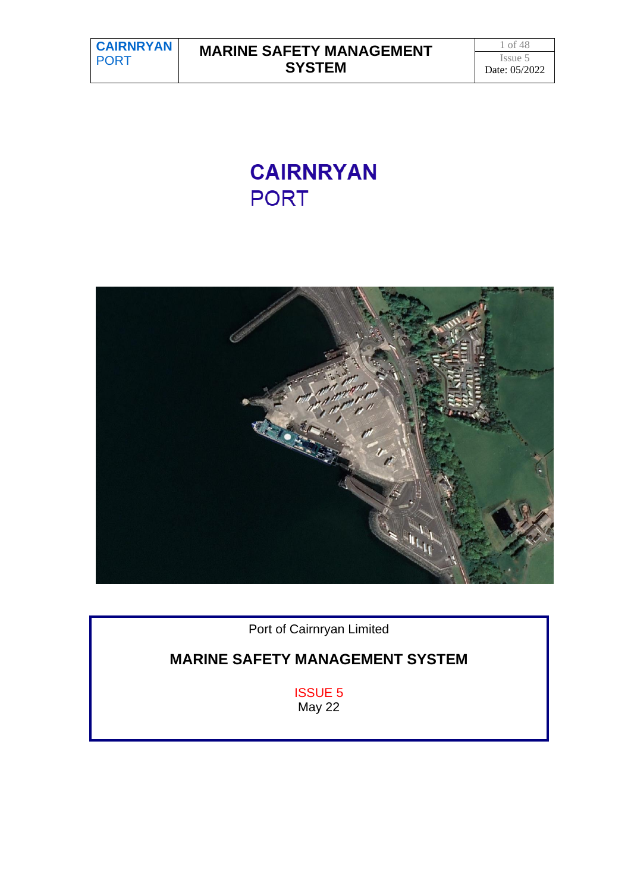# **CAIRNRYAN PORT**



Port of Cairnryan Limited

# **MARINE SAFETY MANAGEMENT SYSTEM**

ISSUE 5 May 22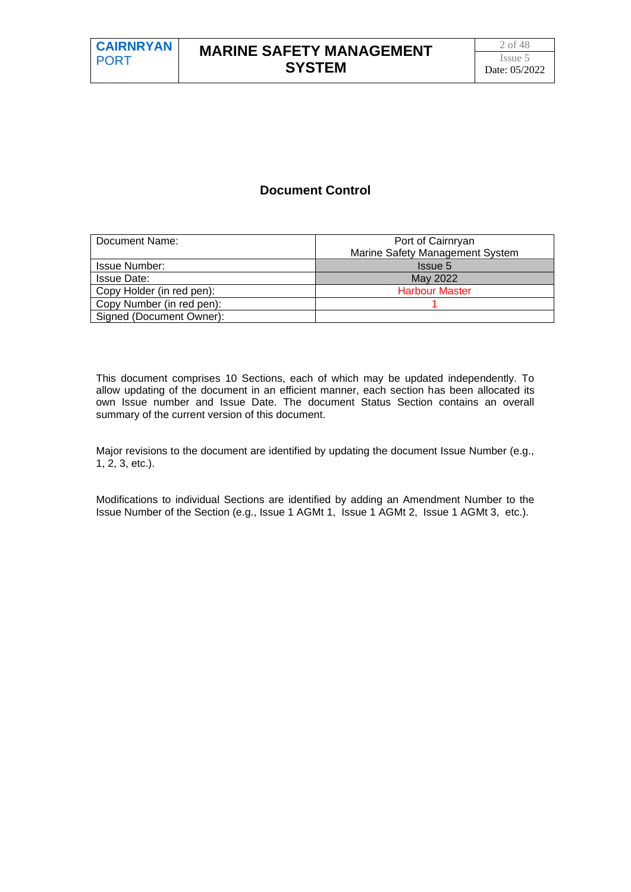# **Document Control**

| Document Name:            | Port of Cairnryan               |
|---------------------------|---------------------------------|
|                           | Marine Safety Management System |
| <b>Issue Number:</b>      | Issue 5                         |
| <b>Issue Date:</b>        | May 2022                        |
| Copy Holder (in red pen): | <b>Harbour Master</b>           |
| Copy Number (in red pen): |                                 |
| Signed (Document Owner):  |                                 |

This document comprises 10 Sections, each of which may be updated independently. To allow updating of the document in an efficient manner, each section has been allocated its own Issue number and Issue Date. The document Status Section contains an overall summary of the current version of this document.

Major revisions to the document are identified by updating the document Issue Number (e.g., 1, 2, 3, etc.).

Modifications to individual Sections are identified by adding an Amendment Number to the Issue Number of the Section (e.g., Issue 1 AGMt 1, Issue 1 AGMt 2, Issue 1 AGMt 3, etc.).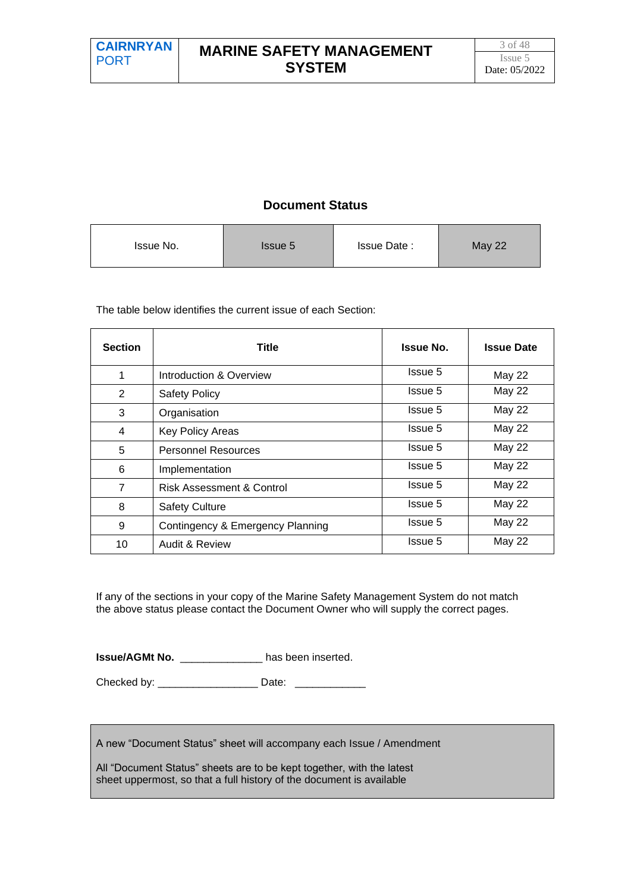# **Document Status**

| Issue No. | Issue 5 | <b>Issue Date:</b> | <b>May 22</b> |
|-----------|---------|--------------------|---------------|
|-----------|---------|--------------------|---------------|

The table below identifies the current issue of each Section:

| <b>Section</b> | Title                                | <b>Issue No.</b> | <b>Issue Date</b> |
|----------------|--------------------------------------|------------------|-------------------|
| 1              | Introduction & Overview              | Issue 5          | May 22            |
| 2              | <b>Safety Policy</b>                 | <b>Issue 5</b>   | <b>May 22</b>     |
| 3              | Organisation                         | Issue 5          | May 22            |
| 4              | <b>Key Policy Areas</b>              | Issue 5          | May 22            |
| 5              | <b>Personnel Resources</b>           | Issue 5          | <b>May 22</b>     |
| 6              | Implementation                       | Issue 5          | <b>May 22</b>     |
| $\overline{7}$ | <b>Risk Assessment &amp; Control</b> | <b>Issue 5</b>   | <b>May 22</b>     |
| 8              | <b>Safety Culture</b>                | Issue 5          | <b>May 22</b>     |
| 9              | Contingency & Emergency Planning     | Issue 5          | <b>May 22</b>     |
| 10             | Audit & Review                       | <b>Issue 5</b>   | <b>May 22</b>     |

If any of the sections in your copy of the Marine Safety Management System do not match the above status please contact the Document Owner who will supply the correct pages.

**Issue/AGMt No.** \_\_\_\_\_\_\_\_\_\_\_\_\_\_ has been inserted.

Checked by: \_\_\_\_\_\_\_\_\_\_\_\_\_\_\_\_\_\_\_\_\_\_ Date: \_\_\_\_\_\_\_\_\_\_\_\_\_\_\_

A new "Document Status" sheet will accompany each Issue / Amendment

All "Document Status" sheets are to be kept together, with the latest sheet uppermost, so that a full history of the document is available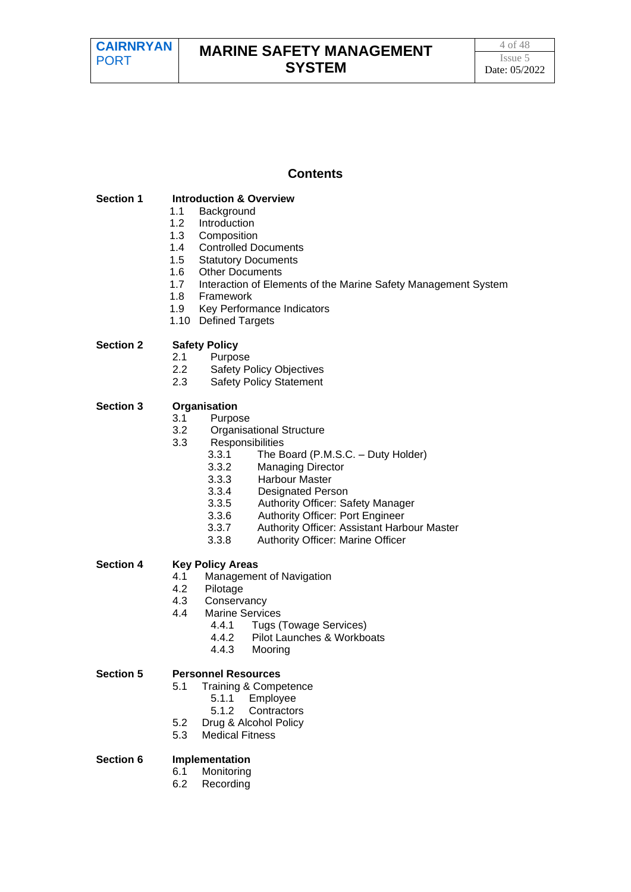## **Contents**

## **Section 1** Introduction & Overview

- 1.1 Background
- 1.2 Introduction
- 1.3 Composition
- 1.4 Controlled Documents<br>1.5 Statutory Documents
- 1.5 Statutory Documents<br>1.6 Other Documents
- 
- 1.6 Other Documents<br>1.7 Interaction of Elen 1.7 Interaction of Elements of the Marine Safety Management System<br>1.8 Framework
- 1.8 Framework<br>1.9 Key Perforn
- Key Performance Indicators
- 1.10 Defined Targets

# **Section 2 Safety Policy**<br>2.1 **Purpos**

- 2.1 Purpose<br>2.2 Safety P
- 2.2 Safety Policy Objectives<br>2.3 Safety Policy Statement
- Safety Policy Statement

**Section 3 Organisation**

- 3.1 Purpose<br>3.2 Organisa
- **Organisational Structure**
- 3.3 Responsibilities
	- 3.3.1 The Board (P.M.S.C. Duty Holder)
	- 3.3.2 Managing Director
	- 3.3.3 Harbour Master
	- 3.3.4 Designated Person<br>3.3.5 Authority Officer: Sa
	- 3.3.5 Authority Officer: Safety Manager
	- 3.3.6 Authority Officer: Port Engineer<br>3.3.7 Authority Officer: Assistant Harb
	- 3.3.7 Authority Officer: Assistant Harbour Master<br>3.3.8 Authority Officer: Marine Officer
	- Authority Officer: Marine Officer

**Section 4 Key Policy Areas**

- 4.1 Management of Navigation
- 4.2 Pilotage
- 4.3 Conservancy
- 4.4 Marine Services
	- 4.4.1 Tugs (Towage Services)
	- 4.4.2 Pilot Launches & Workboats<br>4.4.3 Mooring
	- Mooring

## **Section 5 Personnel Resources**

- 5.1 Training & Competence
- 5.1.1 Employee
	- 5.1.2 Contractors
- 5.2 Drug & Alcohol Policy
- 5.3 Medical Fitness

## **Section 6 Implementation**

- 6.1 Monitoring
- 6.2 Recording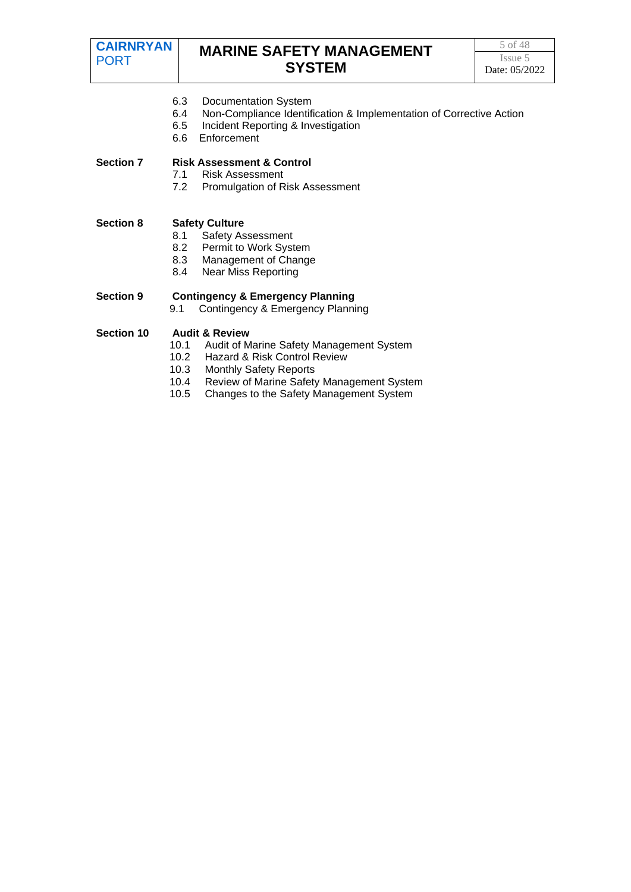**CAIRNRYAN** PORT

- 6.3 Documentation System<br>6.4 Non-Compliance Identif
- 6.4 Non-Compliance Identification & Implementation of Corrective Action<br>6.5 Incident Reporting & Investigation
- Incident Reporting & Investigation
- 6.6 Enforcement

## **Section 7 Risk Assessment & Control**

- 7.1 Risk Assessment
- 7.2 Promulgation of Risk Assessment

## **Section 8 Safety Culture**

- 8.1 Safety Assessment
- 
- 8.2 Permit to Work System<br>8.3 Management of Change
- 8.3 Management of Change<br>8.4 Near Miss Reporting Near Miss Reporting

# **Section 9 Contingency & Emergency Planning**

9.1 Contingency & Emergency Planning

# **Section 10 Audit & Review**<br>10.1 Audit of M

- 10.1 Audit of Marine Safety Management System<br>10.2 Hazard & Risk Control Review
- 10.2 Hazard & Risk Control Review<br>10.3 Monthly Safety Reports
- 10.3 Monthly Safety Reports<br>10.4 Review of Marine Safety
- 10.4 Review of Marine Safety Management System<br>10.5 Changes to the Safety Management System
- 10.5 Changes to the Safety Management System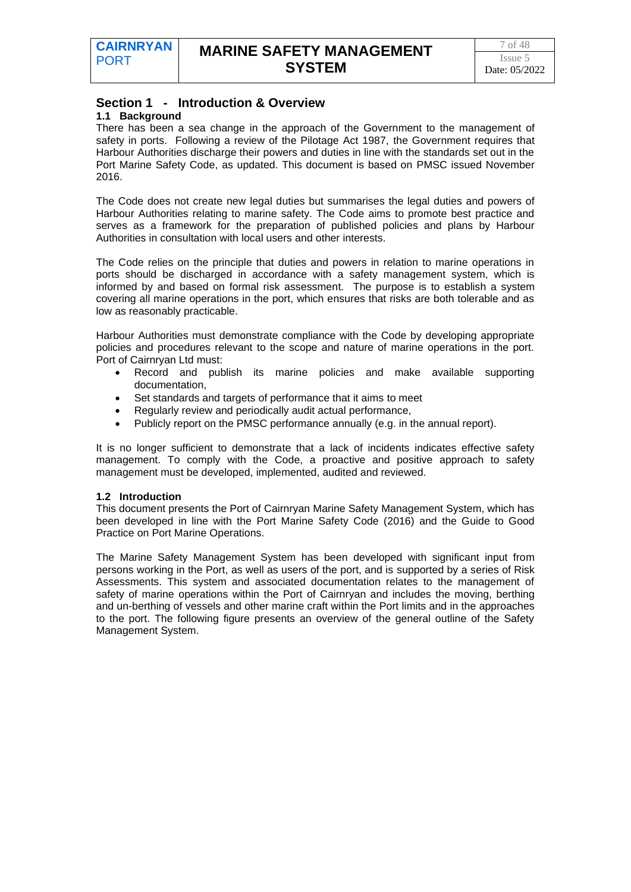# **Section 1 - Introduction & Overview**

## **1.1 Background**

There has been a sea change in the approach of the Government to the management of safety in ports. Following a review of the Pilotage Act 1987, the Government requires that Harbour Authorities discharge their powers and duties in line with the standards set out in the Port Marine Safety Code, as updated. This document is based on PMSC issued November 2016.

The Code does not create new legal duties but summarises the legal duties and powers of Harbour Authorities relating to marine safety. The Code aims to promote best practice and serves as a framework for the preparation of published policies and plans by Harbour Authorities in consultation with local users and other interests.

The Code relies on the principle that duties and powers in relation to marine operations in ports should be discharged in accordance with a safety management system, which is informed by and based on formal risk assessment. The purpose is to establish a system covering all marine operations in the port, which ensures that risks are both tolerable and as low as reasonably practicable.

Harbour Authorities must demonstrate compliance with the Code by developing appropriate policies and procedures relevant to the scope and nature of marine operations in the port. Port of Cairnryan Ltd must:

- Record and publish its marine policies and make available supporting documentation,
- Set standards and targets of performance that it aims to meet
- Regularly review and periodically audit actual performance,
- Publicly report on the PMSC performance annually (e.g. in the annual report).

It is no longer sufficient to demonstrate that a lack of incidents indicates effective safety management. To comply with the Code, a proactive and positive approach to safety management must be developed, implemented, audited and reviewed.

## **1.2 Introduction**

This document presents the Port of Cairnryan Marine Safety Management System, which has been developed in line with the Port Marine Safety Code (2016) and the Guide to Good Practice on Port Marine Operations.

The Marine Safety Management System has been developed with significant input from persons working in the Port, as well as users of the port, and is supported by a series of Risk Assessments. This system and associated documentation relates to the management of safety of marine operations within the Port of Cairnryan and includes the moving, berthing and un-berthing of vessels and other marine craft within the Port limits and in the approaches to the port. The following figure presents an overview of the general outline of the Safety Management System.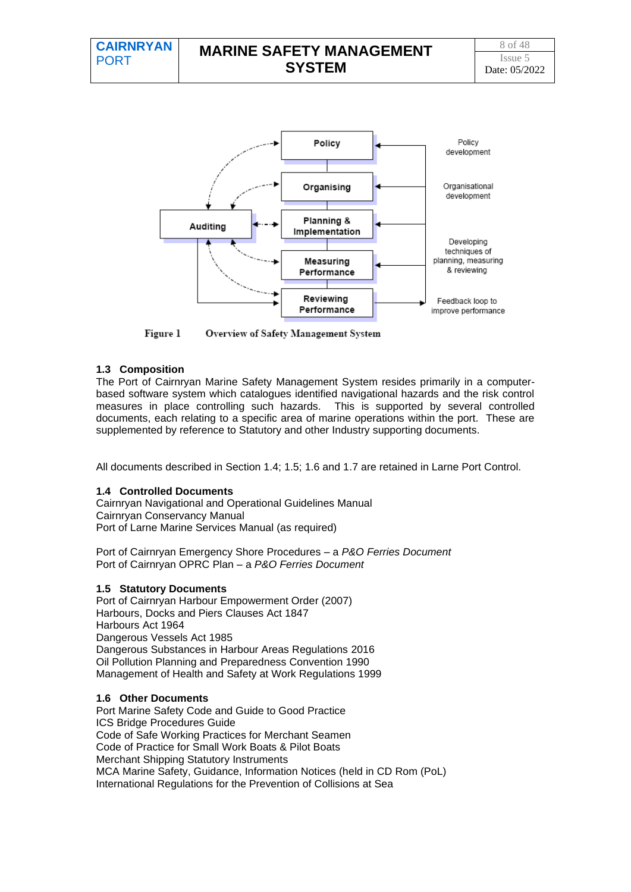

Figure 1 Overview of Safety Management System

## **1.3 Composition**

The Port of Cairnryan Marine Safety Management System resides primarily in a computerbased software system which catalogues identified navigational hazards and the risk control measures in place controlling such hazards. This is supported by several controlled documents, each relating to a specific area of marine operations within the port. These are supplemented by reference to Statutory and other Industry supporting documents.

All documents described in Section 1.4; 1.5; 1.6 and 1.7 are retained in Larne Port Control.

## **1.4 Controlled Documents**

Cairnryan Navigational and Operational Guidelines Manual Cairnryan Conservancy Manual Port of Larne Marine Services Manual (as required)

Port of Cairnryan Emergency Shore Procedures – a *P&O Ferries Document* Port of Cairnryan OPRC Plan – a *P&O Ferries Document*

## **1.5 Statutory Documents**

Port of Cairnryan Harbour Empowerment Order (2007) Harbours, Docks and Piers Clauses Act 1847 Harbours Act 1964 Dangerous Vessels Act 1985 Dangerous Substances in Harbour Areas Regulations 2016 Oil Pollution Planning and Preparedness Convention 1990 Management of Health and Safety at Work Regulations 1999

## **1.6 Other Documents**

Port Marine Safety Code and Guide to Good Practice ICS Bridge Procedures Guide Code of Safe Working Practices for Merchant Seamen Code of Practice for Small Work Boats & Pilot Boats Merchant Shipping Statutory Instruments MCA Marine Safety, Guidance, Information Notices (held in CD Rom (PoL) International Regulations for the Prevention of Collisions at Sea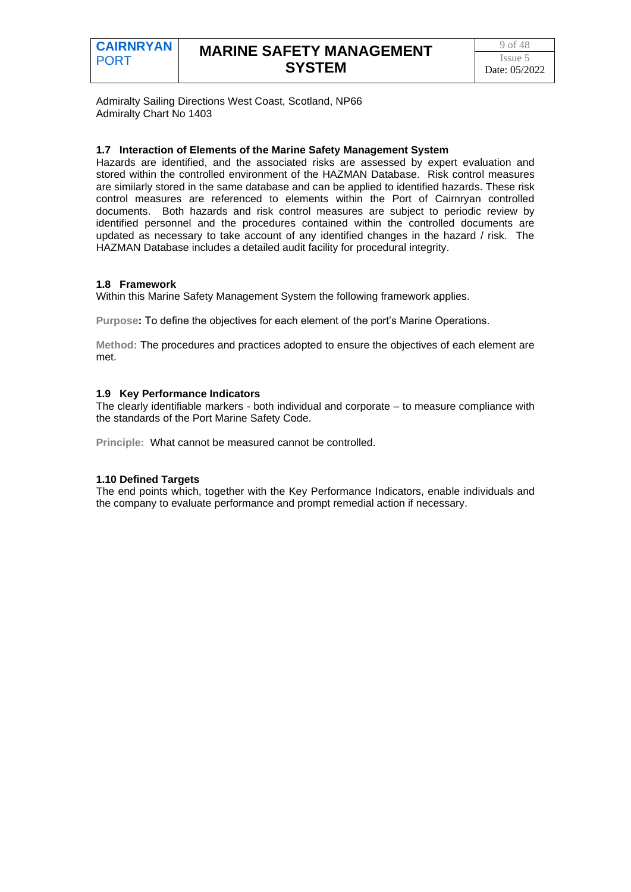# **MARINE SAFETY MANAGEMENT SYSTEM**

Admiralty Sailing Directions West Coast, Scotland, NP66 Admiralty Chart No 1403

## **1.7 Interaction of Elements of the Marine Safety Management System**

Hazards are identified, and the associated risks are assessed by expert evaluation and stored within the controlled environment of the HAZMAN Database. Risk control measures are similarly stored in the same database and can be applied to identified hazards. These risk control measures are referenced to elements within the Port of Cairnryan controlled documents. Both hazards and risk control measures are subject to periodic review by identified personnel and the procedures contained within the controlled documents are updated as necessary to take account of any identified changes in the hazard / risk. The HAZMAN Database includes a detailed audit facility for procedural integrity.

## **1.8 Framework**

Within this Marine Safety Management System the following framework applies.

**Purpose:** To define the objectives for each element of the port's Marine Operations.

**Method:** The procedures and practices adopted to ensure the objectives of each element are met.

#### **1.9 Key Performance Indicators**

The clearly identifiable markers - both individual and corporate – to measure compliance with the standards of the Port Marine Safety Code.

**Principle:** What cannot be measured cannot be controlled.

## **1.10 Defined Targets**

The end points which, together with the Key Performance Indicators, enable individuals and the company to evaluate performance and prompt remedial action if necessary.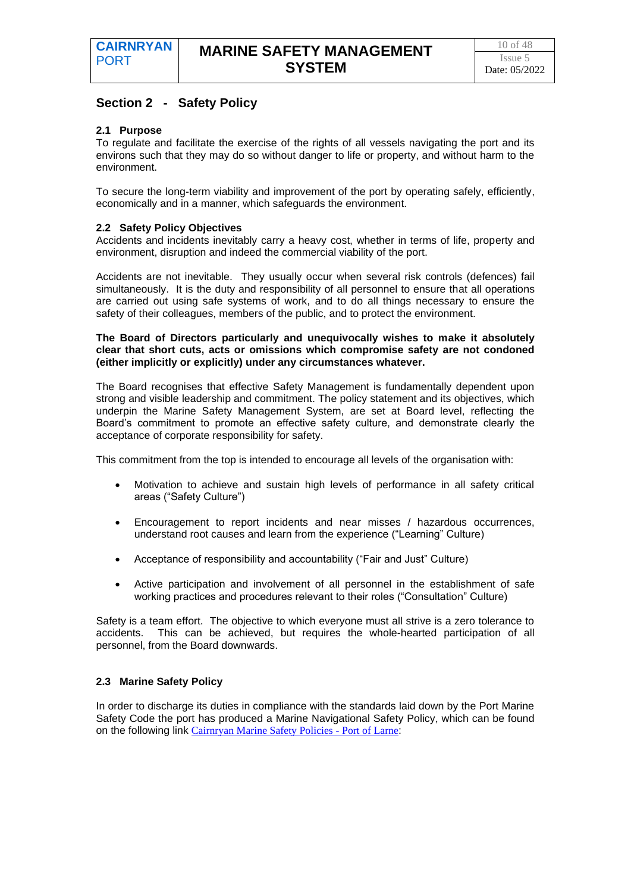# **Section 2 - Safety Policy**

## **2.1 Purpose**

To regulate and facilitate the exercise of the rights of all vessels navigating the port and its environs such that they may do so without danger to life or property, and without harm to the environment.

To secure the long-term viability and improvement of the port by operating safely, efficiently, economically and in a manner, which safeguards the environment.

## **2.2 Safety Policy Objectives**

Accidents and incidents inevitably carry a heavy cost, whether in terms of life, property and environment, disruption and indeed the commercial viability of the port.

Accidents are not inevitable. They usually occur when several risk controls (defences) fail simultaneously. It is the duty and responsibility of all personnel to ensure that all operations are carried out using safe systems of work, and to do all things necessary to ensure the safety of their colleagues, members of the public, and to protect the environment.

## **The Board of Directors particularly and unequivocally wishes to make it absolutely clear that short cuts, acts or omissions which compromise safety are not condoned (either implicitly or explicitly) under any circumstances whatever.**

The Board recognises that effective Safety Management is fundamentally dependent upon strong and visible leadership and commitment. The policy statement and its objectives, which underpin the Marine Safety Management System, are set at Board level, reflecting the Board's commitment to promote an effective safety culture, and demonstrate clearly the acceptance of corporate responsibility for safety.

This commitment from the top is intended to encourage all levels of the organisation with:

- Motivation to achieve and sustain high levels of performance in all safety critical areas ("Safety Culture")
- Encouragement to report incidents and near misses / hazardous occurrences, understand root causes and learn from the experience ("Learning" Culture)
- Acceptance of responsibility and accountability ("Fair and Just" Culture)
- Active participation and involvement of all personnel in the establishment of safe working practices and procedures relevant to their roles ("Consultation" Culture)

Safety is a team effort. The objective to which everyone must all strive is a zero tolerance to accidents. This can be achieved, but requires the whole-hearted participation of all personnel, from the Board downwards.

## **2.3 Marine Safety Policy**

In order to discharge its duties in compliance with the standards laid down by the Port Marine Safety Code the port has produced a Marine Navigational Safety Policy, which can be found on the following link [Cairnryan Marine Safety Policies -](https://www.portoflarne.co.uk/cairnryan-marine-safety-policies/) Port of Larne: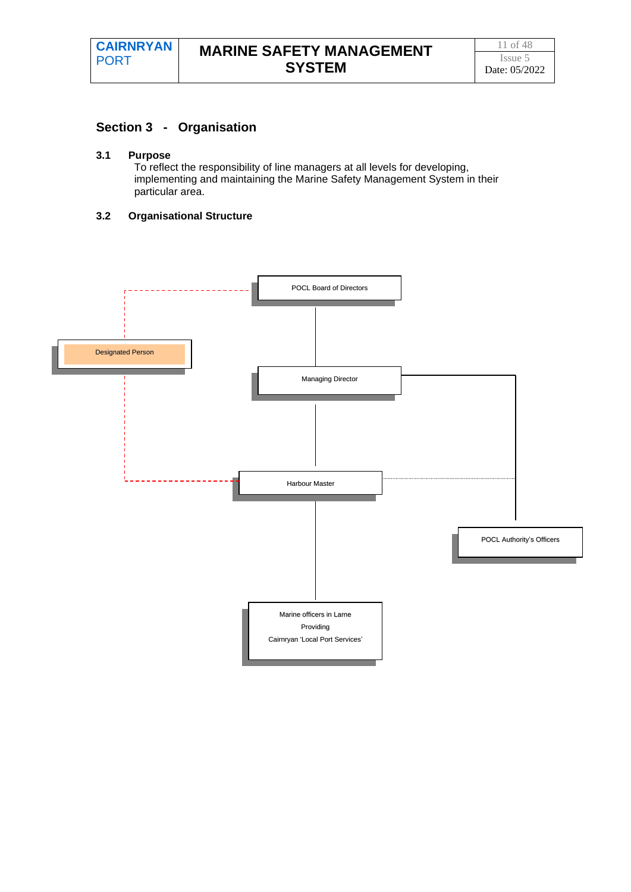

# **Section 3 - Organisation**

## **3.1 Purpose**

To reflect the responsibility of line managers at all levels for developing, implementing and maintaining the Marine Safety Management System in their particular area.

## **3.2 Organisational Structure**

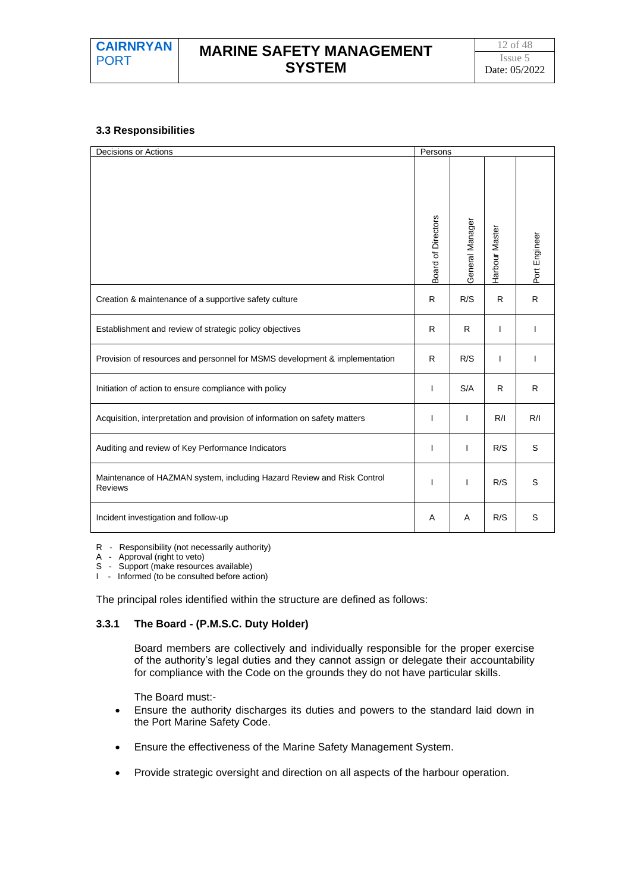## **3.3 Responsibilities**

| Decisions or Actions                                                                     | Persons                   |                 |                |               |
|------------------------------------------------------------------------------------------|---------------------------|-----------------|----------------|---------------|
|                                                                                          | <b>Board of Directors</b> | General Manager | Harbour Master | Port Engineer |
| Creation & maintenance of a supportive safety culture                                    | R                         | R/S             | R              | R             |
| Establishment and review of strategic policy objectives                                  | R.                        | R               | L              |               |
| Provision of resources and personnel for MSMS development & implementation               | R                         | R/S             | I              |               |
| Initiation of action to ensure compliance with policy                                    | ı                         | S/A             | R              | R             |
| Acquisition, interpretation and provision of information on safety matters               | ı                         | -1              | R/I            | R/I           |
| Auditing and review of Key Performance Indicators                                        | ı                         | ı               | R/S            | S             |
| Maintenance of HAZMAN system, including Hazard Review and Risk Control<br><b>Reviews</b> | ı                         | $\mathsf{l}$    | R/S            | S             |
| Incident investigation and follow-up                                                     | Α                         | Α               | R/S            | S             |

R - Responsibility (not necessarily authority)

A - Approval (right to veto)

S - Support (make resources available)

I - Informed (to be consulted before action)

The principal roles identified within the structure are defined as follows:

## **3.3.1 The Board - (P.M.S.C. Duty Holder)**

Board members are collectively and individually responsible for the proper exercise of the authority's legal duties and they cannot assign or delegate their accountability for compliance with the Code on the grounds they do not have particular skills.

The Board must:-

- Ensure the authority discharges its duties and powers to the standard laid down in the Port Marine Safety Code.
- Ensure the effectiveness of the Marine Safety Management System.
- Provide strategic oversight and direction on all aspects of the harbour operation.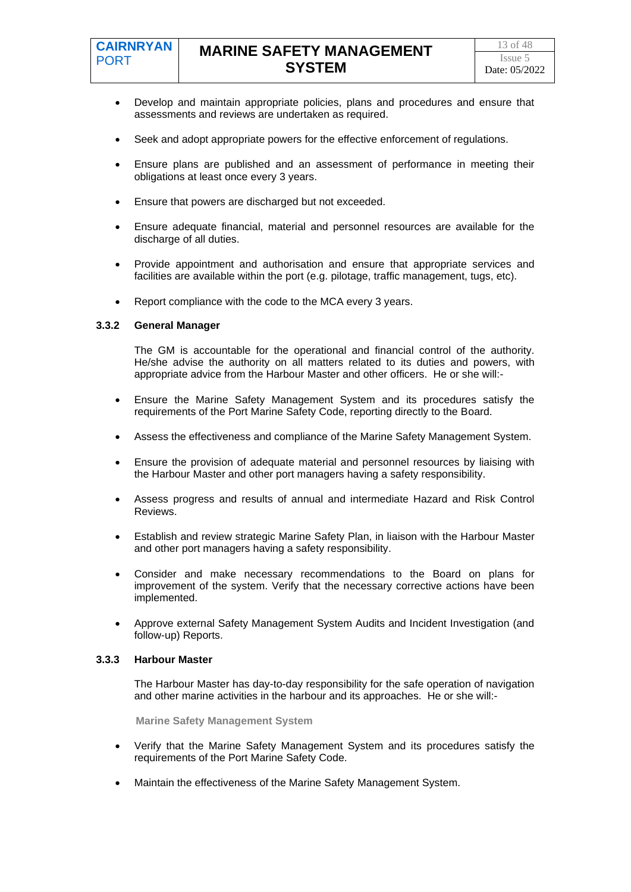- Develop and maintain appropriate policies, plans and procedures and ensure that assessments and reviews are undertaken as required.
- Seek and adopt appropriate powers for the effective enforcement of regulations.
- Ensure plans are published and an assessment of performance in meeting their obligations at least once every 3 years.
- Ensure that powers are discharged but not exceeded.
- Ensure adequate financial, material and personnel resources are available for the discharge of all duties.
- Provide appointment and authorisation and ensure that appropriate services and facilities are available within the port (e.g. pilotage, traffic management, tugs, etc).
- Report compliance with the code to the MCA every 3 years.

## **3.3.2 General Manager**

The GM is accountable for the operational and financial control of the authority. He/she advise the authority on all matters related to its duties and powers, with appropriate advice from the Harbour Master and other officers. He or she will:-

- Ensure the Marine Safety Management System and its procedures satisfy the requirements of the Port Marine Safety Code, reporting directly to the Board.
- Assess the effectiveness and compliance of the Marine Safety Management System.
- Ensure the provision of adequate material and personnel resources by liaising with the Harbour Master and other port managers having a safety responsibility.
- Assess progress and results of annual and intermediate Hazard and Risk Control Reviews.
- Establish and review strategic Marine Safety Plan, in liaison with the Harbour Master and other port managers having a safety responsibility.
- Consider and make necessary recommendations to the Board on plans for improvement of the system. Verify that the necessary corrective actions have been implemented.
- Approve external Safety Management System Audits and Incident Investigation (and follow-up) Reports.

## **3.3.3 Harbour Master**

The Harbour Master has day-to-day responsibility for the safe operation of navigation and other marine activities in the harbour and its approaches. He or she will:-

 **Marine Safety Management System**

- Verify that the Marine Safety Management System and its procedures satisfy the requirements of the Port Marine Safety Code.
- Maintain the effectiveness of the Marine Safety Management System.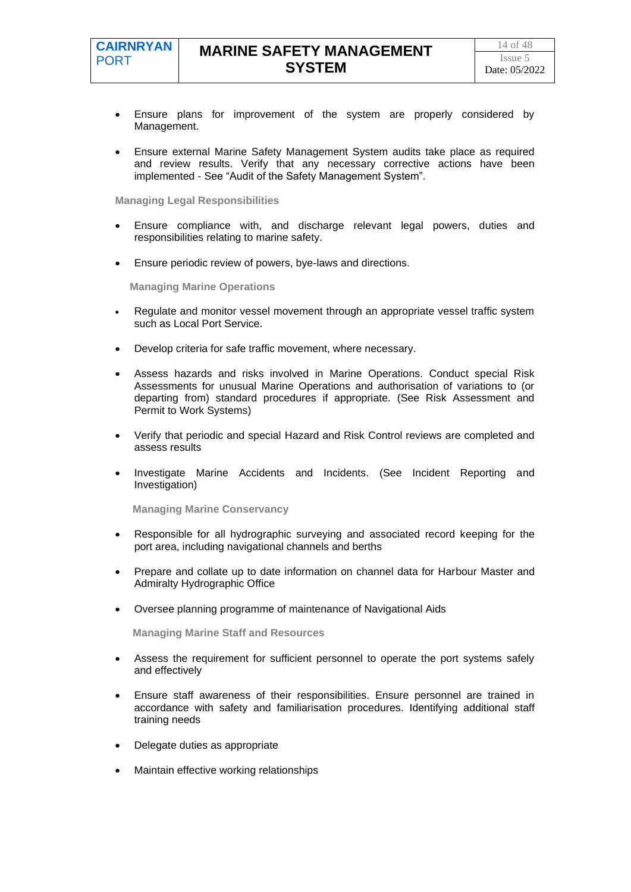- Ensure plans for improvement of the system are properly considered by Management.
- Ensure external Marine Safety Management System audits take place as required and review results. Verify that any necessary corrective actions have been implemented - See "Audit of the Safety Management System".

**Managing Legal Responsibilities**

- Ensure compliance with, and discharge relevant legal powers, duties and responsibilities relating to marine safety.
- Ensure periodic review of powers, bye-laws and directions.

 **Managing Marine Operations**

- Regulate and monitor vessel movement through an appropriate vessel traffic system such as Local Port Service.
- Develop criteria for safe traffic movement, where necessary.
- Assess hazards and risks involved in Marine Operations. Conduct special Risk Assessments for unusual Marine Operations and authorisation of variations to (or departing from) standard procedures if appropriate. (See Risk Assessment and Permit to Work Systems)
- Verify that periodic and special Hazard and Risk Control reviews are completed and assess results
- Investigate Marine Accidents and Incidents. (See Incident Reporting and Investigation)

 **Managing Marine Conservancy**

- Responsible for all hydrographic surveying and associated record keeping for the port area, including navigational channels and berths
- Prepare and collate up to date information on channel data for Harbour Master and Admiralty Hydrographic Office
- Oversee planning programme of maintenance of Navigational Aids

 **Managing Marine Staff and Resources**

- Assess the requirement for sufficient personnel to operate the port systems safely and effectively
- Ensure staff awareness of their responsibilities. Ensure personnel are trained in accordance with safety and familiarisation procedures. Identifying additional staff training needs
- Delegate duties as appropriate
- Maintain effective working relationships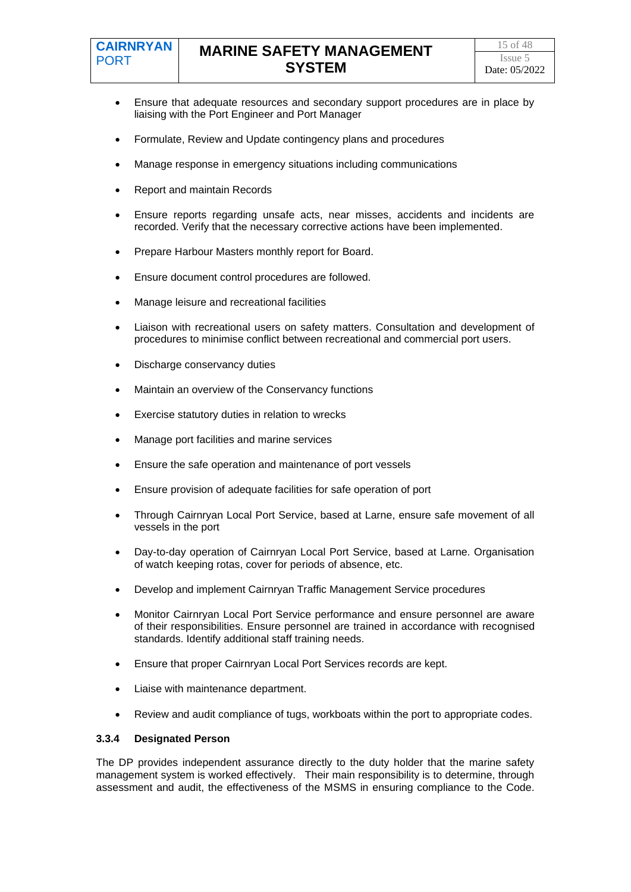- Ensure that adequate resources and secondary support procedures are in place by liaising with the Port Engineer and Port Manager
- Formulate, Review and Update contingency plans and procedures
- Manage response in emergency situations including communications
- Report and maintain Records
- Ensure reports regarding unsafe acts, near misses, accidents and incidents are recorded. Verify that the necessary corrective actions have been implemented.
- Prepare Harbour Masters monthly report for Board.
- Ensure document control procedures are followed.
- Manage leisure and recreational facilities
- Liaison with recreational users on safety matters. Consultation and development of procedures to minimise conflict between recreational and commercial port users.
- Discharge conservancy duties
- Maintain an overview of the Conservancy functions
- Exercise statutory duties in relation to wrecks
- Manage port facilities and marine services
- Ensure the safe operation and maintenance of port vessels
- Ensure provision of adequate facilities for safe operation of port
- Through Cairnryan Local Port Service, based at Larne, ensure safe movement of all vessels in the port
- Day-to-day operation of Cairnryan Local Port Service, based at Larne. Organisation of watch keeping rotas, cover for periods of absence, etc.
- Develop and implement Cairnryan Traffic Management Service procedures
- Monitor Cairnryan Local Port Service performance and ensure personnel are aware of their responsibilities. Ensure personnel are trained in accordance with recognised standards. Identify additional staff training needs.
- Ensure that proper Cairnryan Local Port Services records are kept.
- Liaise with maintenance department.
- Review and audit compliance of tugs, workboats within the port to appropriate codes.

## **3.3.4 Designated Person**

The DP provides independent assurance directly to the duty holder that the marine safety management system is worked effectively. Their main responsibility is to determine, through assessment and audit, the effectiveness of the MSMS in ensuring compliance to the Code.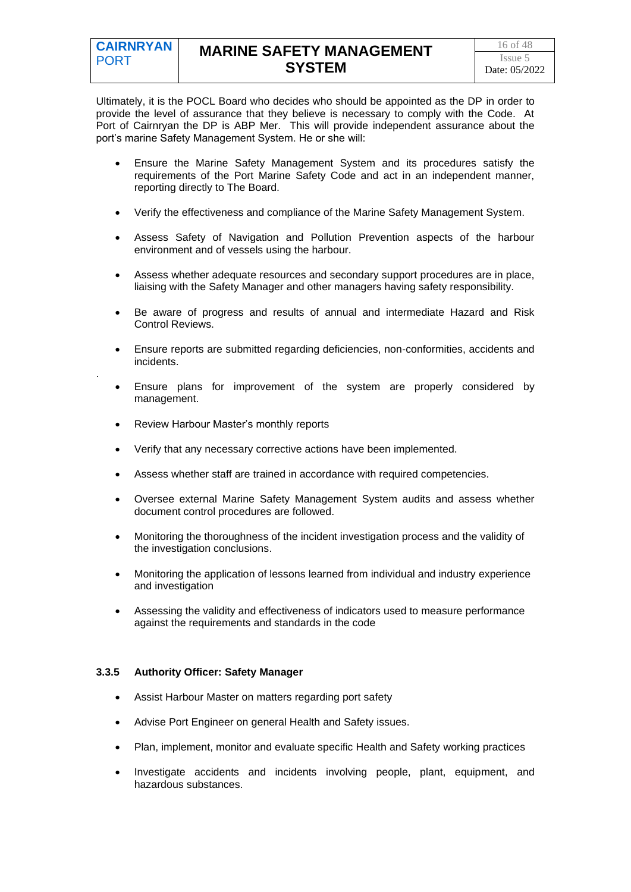.

Ultimately, it is the POCL Board who decides who should be appointed as the DP in order to provide the level of assurance that they believe is necessary to comply with the Code. At Port of Cairnryan the DP is ABP Mer. This will provide independent assurance about the port's marine Safety Management System. He or she will:

- Ensure the Marine Safety Management System and its procedures satisfy the requirements of the Port Marine Safety Code and act in an independent manner, reporting directly to The Board.
- Verify the effectiveness and compliance of the Marine Safety Management System.
- Assess Safety of Navigation and Pollution Prevention aspects of the harbour environment and of vessels using the harbour.
- Assess whether adequate resources and secondary support procedures are in place, liaising with the Safety Manager and other managers having safety responsibility.
- Be aware of progress and results of annual and intermediate Hazard and Risk Control Reviews.
- Ensure reports are submitted regarding deficiencies, non-conformities, accidents and incidents.
- Ensure plans for improvement of the system are properly considered by management.
- Review Harbour Master's monthly reports
- Verify that any necessary corrective actions have been implemented.
- Assess whether staff are trained in accordance with required competencies.
- Oversee external Marine Safety Management System audits and assess whether document control procedures are followed.
- Monitoring the thoroughness of the incident investigation process and the validity of the investigation conclusions.
- Monitoring the application of lessons learned from individual and industry experience and investigation
- Assessing the validity and effectiveness of indicators used to measure performance against the requirements and standards in the code

## **3.3.5 Authority Officer: Safety Manager**

- Assist Harbour Master on matters regarding port safety
- Advise Port Engineer on general Health and Safety issues.
- Plan, implement, monitor and evaluate specific Health and Safety working practices
- Investigate accidents and incidents involving people, plant, equipment, and hazardous substances.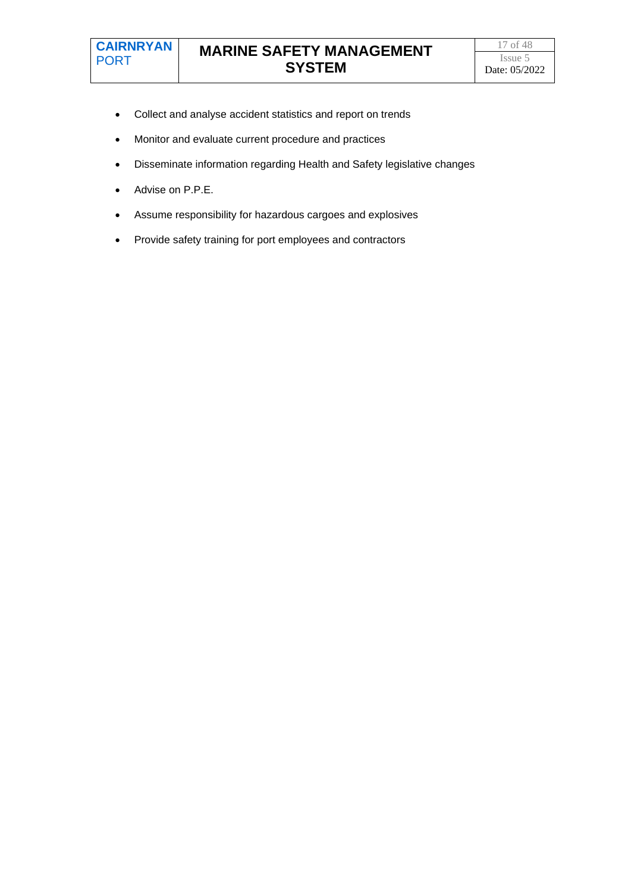- Collect and analyse accident statistics and report on trends
- Monitor and evaluate current procedure and practices
- Disseminate information regarding Health and Safety legislative changes
- Advise on P.P.E.
- Assume responsibility for hazardous cargoes and explosives
- Provide safety training for port employees and contractors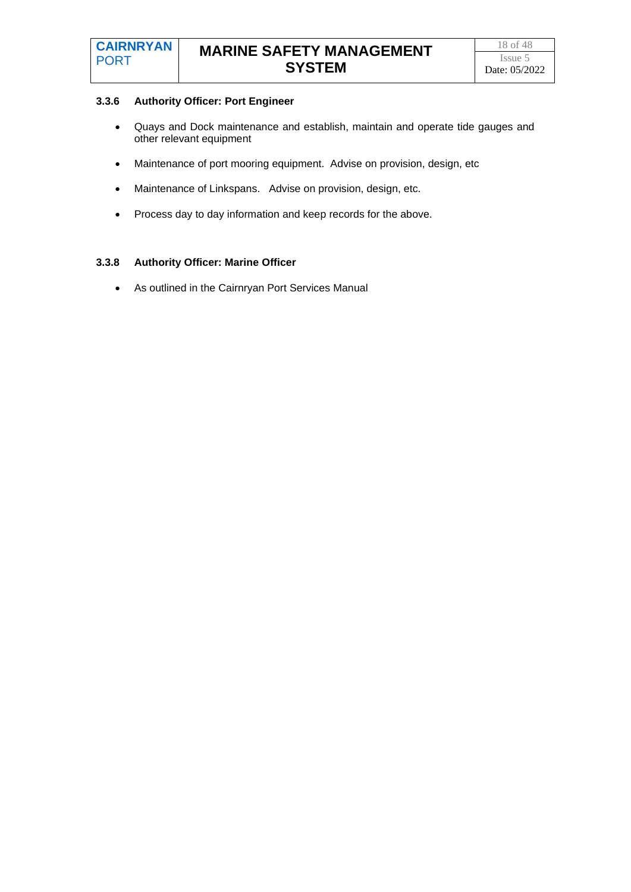## **3.3.6 Authority Officer: Port Engineer**

- Quays and Dock maintenance and establish, maintain and operate tide gauges and other relevant equipment
- Maintenance of port mooring equipment. Advise on provision, design, etc
- Maintenance of Linkspans. Advise on provision, design, etc.
- Process day to day information and keep records for the above.

## **3.3.8 Authority Officer: Marine Officer**

• As outlined in the Cairnryan Port Services Manual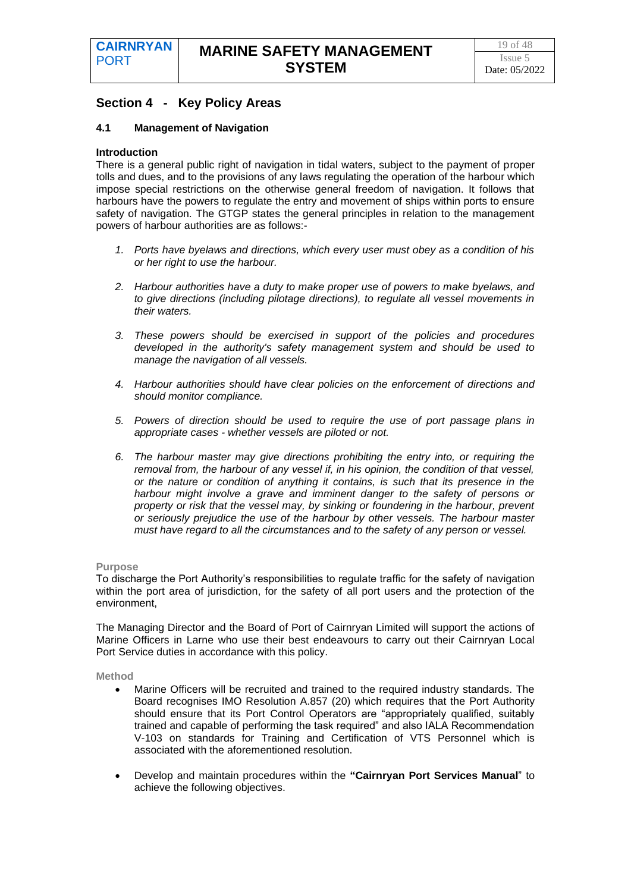## **Section 4 - Key Policy Areas**

## **4.1 Management of Navigation**

## **Introduction**

There is a general public right of navigation in tidal waters, subject to the payment of proper tolls and dues, and to the provisions of any laws regulating the operation of the harbour which impose special restrictions on the otherwise general freedom of navigation. It follows that harbours have the powers to regulate the entry and movement of ships within ports to ensure safety of navigation. The GTGP states the general principles in relation to the management powers of harbour authorities are as follows:-

- *1. Ports have byelaws and directions, which every user must obey as a condition of his or her right to use the harbour.*
- *2. Harbour authorities have a duty to make proper use of powers to make byelaws, and to give directions (including pilotage directions), to regulate all vessel movements in their waters.*
- *3. These powers should be exercised in support of the policies and procedures developed in the authority's safety management system and should be used to manage the navigation of all vessels.*
- *4. Harbour authorities should have clear policies on the enforcement of directions and should monitor compliance.*
- *5. Powers of direction should be used to require the use of port passage plans in appropriate cases - whether vessels are piloted or not.*
- *6. The harbour master may give directions prohibiting the entry into, or requiring the removal from, the harbour of any vessel if, in his opinion, the condition of that vessel, or the nature or condition of anything it contains, is such that its presence in the harbour might involve a grave and imminent danger to the safety of persons or property or risk that the vessel may, by sinking or foundering in the harbour, prevent or seriously prejudice the use of the harbour by other vessels. The harbour master must have regard to all the circumstances and to the safety of any person or vessel.*

#### **Purpose**

To discharge the Port Authority's responsibilities to regulate traffic for the safety of navigation within the port area of jurisdiction, for the safety of all port users and the protection of the environment,

The Managing Director and the Board of Port of Cairnryan Limited will support the actions of Marine Officers in Larne who use their best endeavours to carry out their Cairnryan Local Port Service duties in accordance with this policy.

**Method**

- Marine Officers will be recruited and trained to the required industry standards. The Board recognises IMO Resolution A.857 (20) which requires that the Port Authority should ensure that its Port Control Operators are "appropriately qualified, suitably trained and capable of performing the task required" and also IALA Recommendation V-103 on standards for Training and Certification of VTS Personnel which is associated with the aforementioned resolution.
- Develop and maintain procedures within the **"Cairnryan Port Services Manual**" to achieve the following objectives.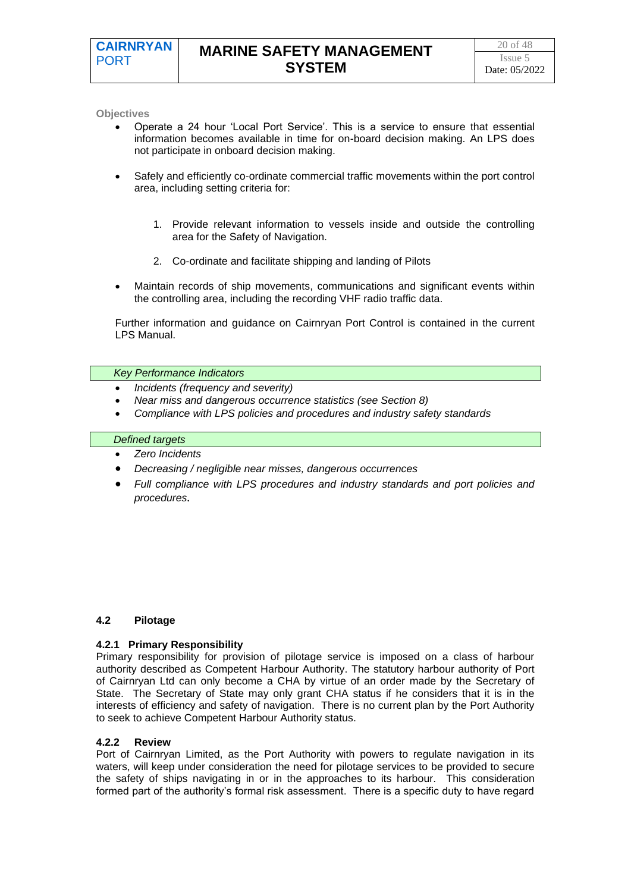**Objectives**

- Operate a 24 hour 'Local Port Service'. This is a service to ensure that essential information becomes available in time for on-board decision making. An LPS does not participate in onboard decision making.
- Safely and efficiently co-ordinate commercial traffic movements within the port control area, including setting criteria for:
	- 1. Provide relevant information to vessels inside and outside the controlling area for the Safety of Navigation.
	- 2. Co-ordinate and facilitate shipping and landing of Pilots
- Maintain records of ship movements, communications and significant events within the controlling area, including the recording VHF radio traffic data.

Further information and guidance on Cairnryan Port Control is contained in the current LPS Manual.

## *Key Performance Indicators*

- *Incidents (frequency and severity)*
- *Near miss and dangerous occurrence statistics (see Section 8)*
- *Compliance with LPS policies and procedures and industry safety standards*

## *Defined targets*

- *Zero Incidents*
- *Decreasing / negligible near misses, dangerous occurrences*
- *Full compliance with LPS procedures and industry standards and port policies and procedures.*

## **4.2 Pilotage**

## **4.2.1 Primary Responsibility**

Primary responsibility for provision of pilotage service is imposed on a class of harbour authority described as Competent Harbour Authority. The statutory harbour authority of Port of Cairnryan Ltd can only become a CHA by virtue of an order made by the Secretary of State. The Secretary of State may only grant CHA status if he considers that it is in the interests of efficiency and safety of navigation. There is no current plan by the Port Authority to seek to achieve Competent Harbour Authority status.

## **4.2.2 Review**

Port of Cairnryan Limited, as the Port Authority with powers to regulate navigation in its waters, will keep under consideration the need for pilotage services to be provided to secure the safety of ships navigating in or in the approaches to its harbour. This consideration formed part of the authority's formal risk assessment. There is a specific duty to have regard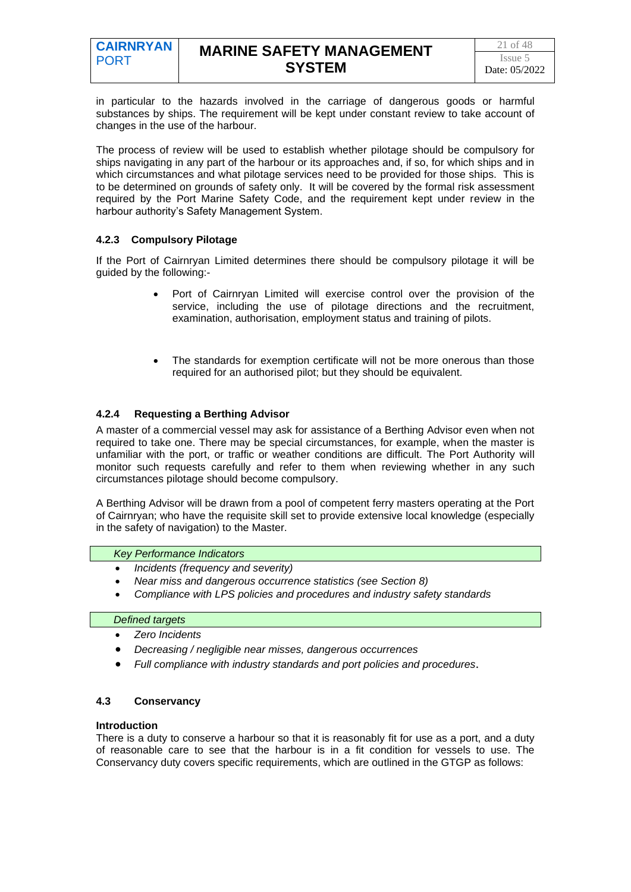in particular to the hazards involved in the carriage of dangerous goods or harmful substances by ships. The requirement will be kept under constant review to take account of changes in the use of the harbour.

The process of review will be used to establish whether pilotage should be compulsory for ships navigating in any part of the harbour or its approaches and, if so, for which ships and in which circumstances and what pilotage services need to be provided for those ships. This is to be determined on grounds of safety only. It will be covered by the formal risk assessment required by the Port Marine Safety Code, and the requirement kept under review in the harbour authority's Safety Management System.

## **4.2.3 Compulsory Pilotage**

If the Port of Cairnryan Limited determines there should be compulsory pilotage it will be guided by the following:-

- Port of Cairnryan Limited will exercise control over the provision of the service, including the use of pilotage directions and the recruitment, examination, authorisation, employment status and training of pilots.
- The standards for exemption certificate will not be more onerous than those required for an authorised pilot; but they should be equivalent.

## **4.2.4 Requesting a Berthing Advisor**

A master of a commercial vessel may ask for assistance of a Berthing Advisor even when not required to take one. There may be special circumstances, for example, when the master is unfamiliar with the port, or traffic or weather conditions are difficult. The Port Authority will monitor such requests carefully and refer to them when reviewing whether in any such circumstances pilotage should become compulsory.

A Berthing Advisor will be drawn from a pool of competent ferry masters operating at the Port of Cairnryan; who have the requisite skill set to provide extensive local knowledge (especially in the safety of navigation) to the Master.

#### *Key Performance Indicators*

- *Incidents (frequency and severity)*
- *Near miss and dangerous occurrence statistics (see Section 8)*
- *Compliance with LPS policies and procedures and industry safety standards*

## *Defined targets*

- *Zero Incidents*
- *Decreasing / negligible near misses, dangerous occurrences*
- *Full compliance with industry standards and port policies and procedures.*

## **4.3 Conservancy**

## **Introduction**

There is a duty to conserve a harbour so that it is reasonably fit for use as a port, and a duty of reasonable care to see that the harbour is in a fit condition for vessels to use. The Conservancy duty covers specific requirements, which are outlined in the GTGP as follows: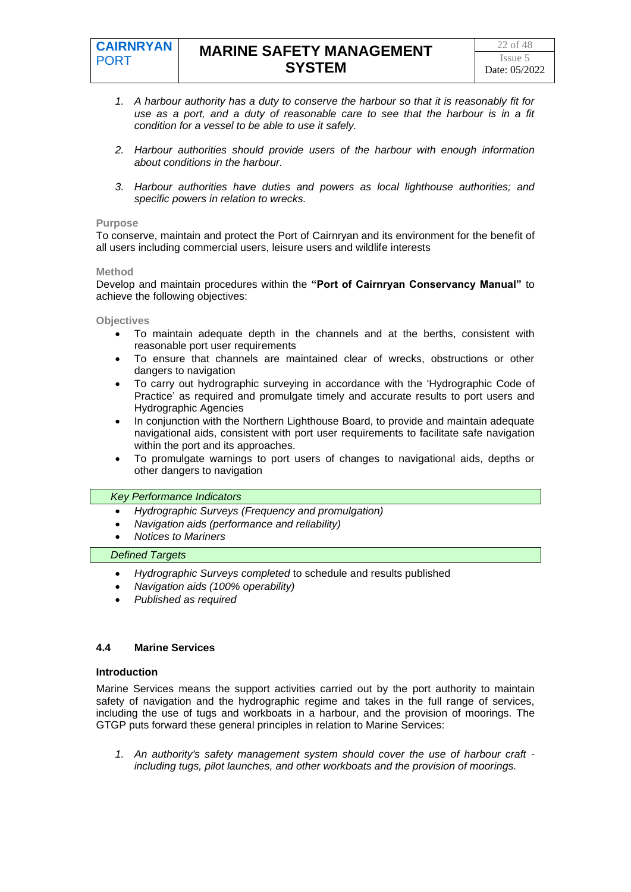- *1. A harbour authority has a duty to conserve the harbour so that it is reasonably fit for use as a port, and a duty of reasonable care to see that the harbour is in a fit condition for a vessel to be able to use it safely.*
- *2. Harbour authorities should provide users of the harbour with enough information about conditions in the harbour.*
- *3. Harbour authorities have duties and powers as local lighthouse authorities; and specific powers in relation to wrecks.*

#### **Purpose**

To conserve, maintain and protect the Port of Cairnryan and its environment for the benefit of all users including commercial users, leisure users and wildlife interests

#### **Method**

Develop and maintain procedures within the **"Port of Cairnryan Conservancy Manual"** to achieve the following objectives:

#### **Objectives**

- To maintain adequate depth in the channels and at the berths, consistent with reasonable port user requirements
- To ensure that channels are maintained clear of wrecks, obstructions or other dangers to navigation
- To carry out hydrographic surveying in accordance with the 'Hydrographic Code of Practice' as required and promulgate timely and accurate results to port users and Hydrographic Agencies
- In conjunction with the Northern Lighthouse Board, to provide and maintain adequate navigational aids, consistent with port user requirements to facilitate safe navigation within the port and its approaches.
- To promulgate warnings to port users of changes to navigational aids, depths or other dangers to navigation

## *Key Performance Indicators*

- *Hydrographic Surveys (Frequency and promulgation)*
- *Navigation aids (performance and reliability)*
- *Notices to Mariners*

## *Defined Targets*

- *Hydrographic Surveys completed* to schedule and results published
- *Navigation aids (100% operability)*
- *Published as required*

## **4.4 Marine Services**

## **Introduction**

Marine Services means the support activities carried out by the port authority to maintain safety of navigation and the hydrographic regime and takes in the full range of services, including the use of tugs and workboats in a harbour, and the provision of moorings. The GTGP puts forward these general principles in relation to Marine Services:

*1. An authority's safety management system should cover the use of harbour craft including tugs, pilot launches, and other workboats and the provision of moorings.*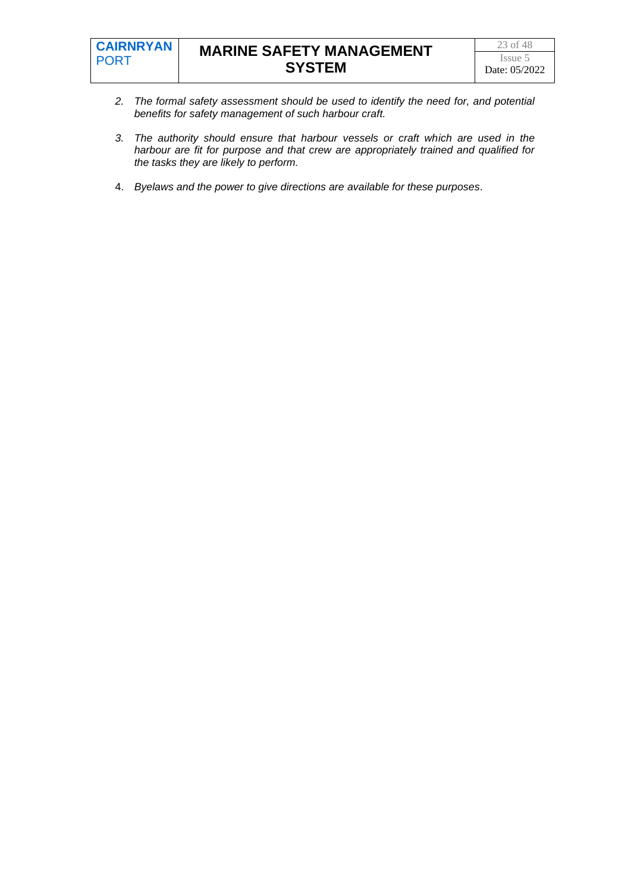- *2. The formal safety assessment should be used to identify the need for, and potential benefits for safety management of such harbour craft.*
- *3. The authority should ensure that harbour vessels or craft which are used in the harbour are fit for purpose and that crew are appropriately trained and qualified for the tasks they are likely to perform.*
- 4. *Byelaws and the power to give directions are available for these purposes*.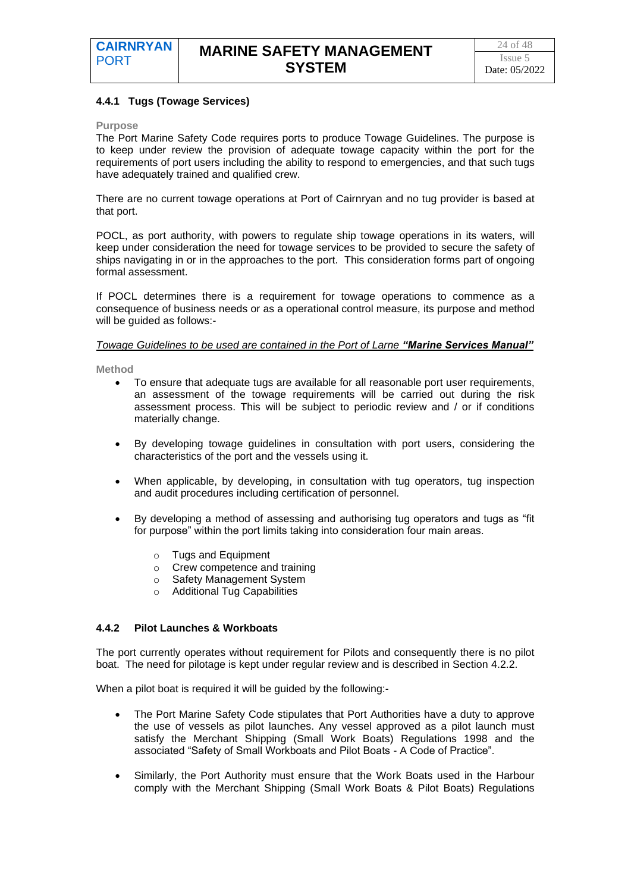## **4.4.1 Tugs (Towage Services)**

#### **Purpose**

The Port Marine Safety Code requires ports to produce Towage Guidelines. The purpose is to keep under review the provision of adequate towage capacity within the port for the requirements of port users including the ability to respond to emergencies, and that such tugs have adequately trained and qualified crew.

There are no current towage operations at Port of Cairnryan and no tug provider is based at that port.

POCL, as port authority, with powers to regulate ship towage operations in its waters, will keep under consideration the need for towage services to be provided to secure the safety of ships navigating in or in the approaches to the port. This consideration forms part of ongoing formal assessment.

If POCL determines there is a requirement for towage operations to commence as a consequence of business needs or as a operational control measure, its purpose and method will be guided as follows:-

#### *Towage Guidelines to be used are contained in the Port of Larne "Marine Services Manual"*

**Method**

- To ensure that adequate tugs are available for all reasonable port user requirements, an assessment of the towage requirements will be carried out during the risk assessment process. This will be subject to periodic review and / or if conditions materially change.
- By developing towage guidelines in consultation with port users, considering the characteristics of the port and the vessels using it.
- When applicable, by developing, in consultation with tug operators, tug inspection and audit procedures including certification of personnel.
- By developing a method of assessing and authorising tug operators and tugs as "fit for purpose" within the port limits taking into consideration four main areas.
	- o Tugs and Equipment
	- o Crew competence and training
	- o Safety Management System
	- o Additional Tug Capabilities

## **4.4.2 Pilot Launches & Workboats**

The port currently operates without requirement for Pilots and consequently there is no pilot boat. The need for pilotage is kept under regular review and is described in Section 4.2.2.

When a pilot boat is required it will be guided by the following:-

- The Port Marine Safety Code stipulates that Port Authorities have a duty to approve the use of vessels as pilot launches. Any vessel approved as a pilot launch must satisfy the Merchant Shipping (Small Work Boats) Regulations 1998 and the associated "Safety of Small Workboats and Pilot Boats - A Code of Practice".
- Similarly, the Port Authority must ensure that the Work Boats used in the Harbour comply with the Merchant Shipping (Small Work Boats & Pilot Boats) Regulations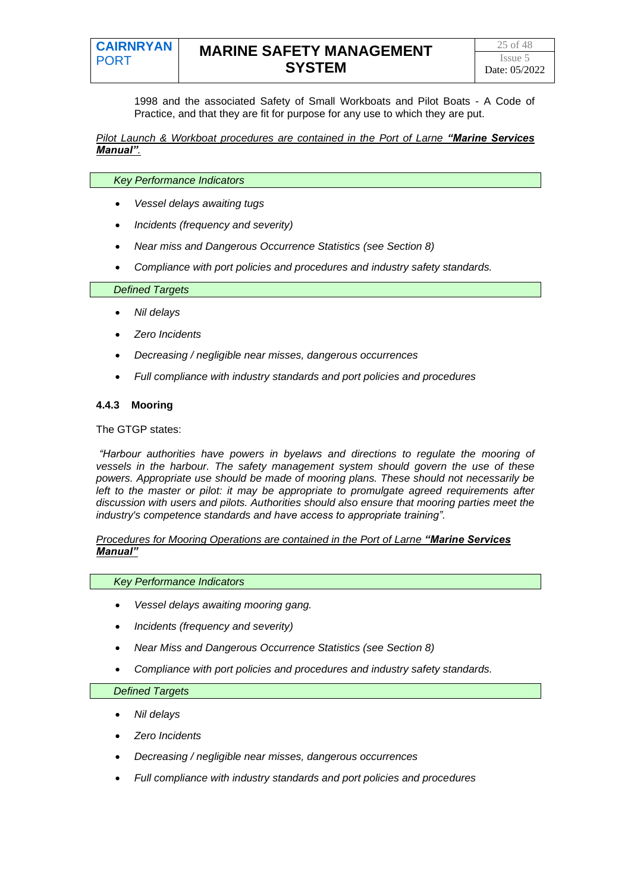1998 and the associated Safety of Small Workboats and Pilot Boats - A Code of Practice, and that they are fit for purpose for any use to which they are put.

## *Pilot Launch & Workboat procedures are contained in the Port of Larne "Marine Services Manual".*

## *Key Performance Indicators*

- *Vessel delays awaiting tugs*
- *Incidents (frequency and severity)*
- *Near miss and Dangerous Occurrence Statistics (see Section 8)*
- *Compliance with port policies and procedures and industry safety standards.*

## *Defined Targets*

- *Nil delays*
- *Zero Incidents*
- *Decreasing / negligible near misses, dangerous occurrences*
- *Full compliance with industry standards and port policies and procedures*

## **4.4.3 Mooring**

The GTGP states:

*"Harbour authorities have powers in byelaws and directions to regulate the mooring of vessels in the harbour. The safety management system should govern the use of these powers. Appropriate use should be made of mooring plans. These should not necessarily be left to the master or pilot: it may be appropriate to promulgate agreed requirements after discussion with users and pilots. Authorities should also ensure that mooring parties meet the industry's competence standards and have access to appropriate training".*

*Procedures for Mooring Operations are contained in the Port of Larne "Marine Services Manual"*

 *Key Performance Indicators*

- *Vessel delays awaiting mooring gang.*
- *Incidents (frequency and severity)*
- *Near Miss and Dangerous Occurrence Statistics (see Section 8)*
- *Compliance with port policies and procedures and industry safety standards.*

## *Defined Targets*

- *Nil delays*
- *Zero Incidents*
- *Decreasing / negligible near misses, dangerous occurrences*
- *Full compliance with industry standards and port policies and procedures*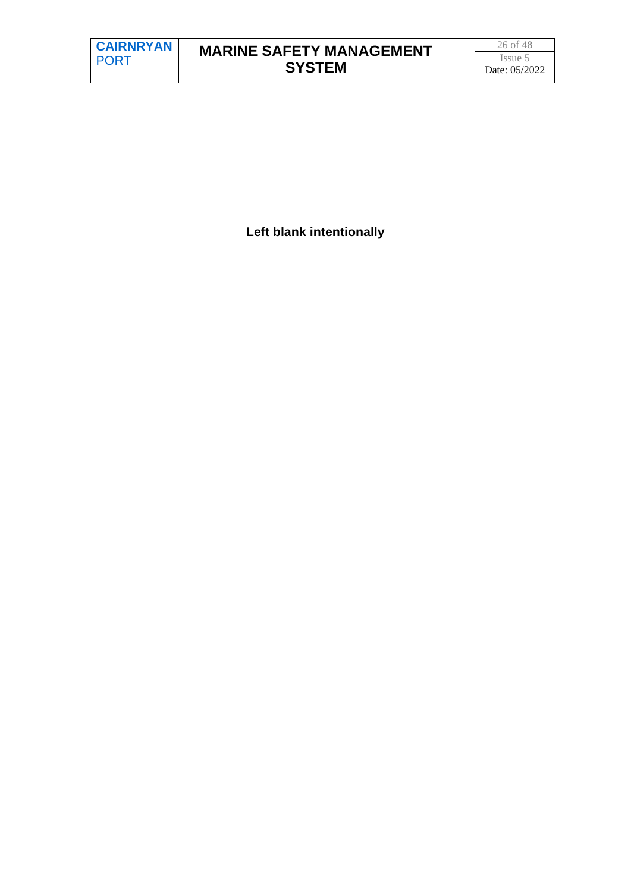**Left blank intentionally**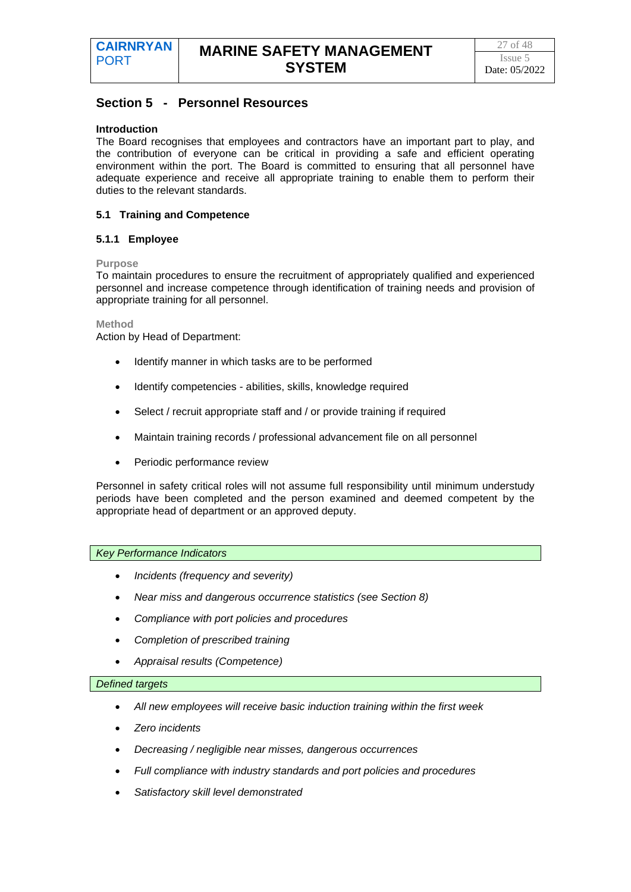# **Section 5 - Personnel Resources**

## **Introduction**

The Board recognises that employees and contractors have an important part to play, and the contribution of everyone can be critical in providing a safe and efficient operating environment within the port. The Board is committed to ensuring that all personnel have adequate experience and receive all appropriate training to enable them to perform their duties to the relevant standards.

## **5.1 Training and Competence**

## **5.1.1 Employee**

## **Purpose**

To maintain procedures to ensure the recruitment of appropriately qualified and experienced personnel and increase competence through identification of training needs and provision of appropriate training for all personnel.

**Method**

Action by Head of Department:

- Identify manner in which tasks are to be performed
- Identify competencies abilities, skills, knowledge required
- Select / recruit appropriate staff and / or provide training if required
- Maintain training records / professional advancement file on all personnel
- Periodic performance review

Personnel in safety critical roles will not assume full responsibility until minimum understudy periods have been completed and the person examined and deemed competent by the appropriate head of department or an approved deputy.

## *Key Performance Indicators*

- *Incidents (frequency and severity)*
- *Near miss and dangerous occurrence statistics (see Section 8)*
- *Compliance with port policies and procedures*
- *Completion of prescribed training*
- *Appraisal results (Competence)*

## *Defined targets*

- *All new employees will receive basic induction training within the first week*
- *Zero incidents*
- *Decreasing / negligible near misses, dangerous occurrences*
- *Full compliance with industry standards and port policies and procedures*
- *Satisfactory skill level demonstrated*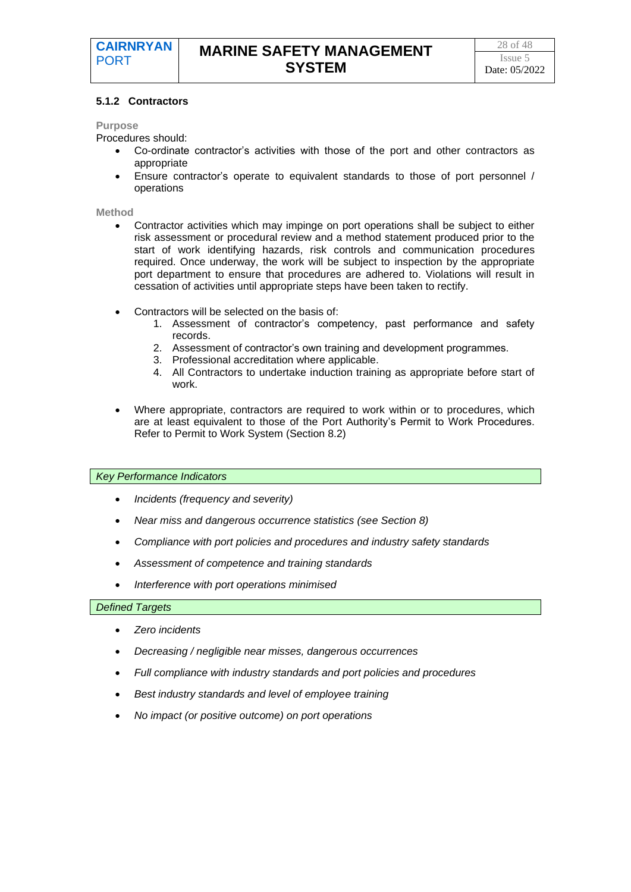## **5.1.2 Contractors**

## **Purpose**

Procedures should:

- Co-ordinate contractor's activities with those of the port and other contractors as appropriate
- Ensure contractor's operate to equivalent standards to those of port personnel / operations

**Method**

- Contractor activities which may impinge on port operations shall be subject to either risk assessment or procedural review and a method statement produced prior to the start of work identifying hazards, risk controls and communication procedures required. Once underway, the work will be subject to inspection by the appropriate port department to ensure that procedures are adhered to. Violations will result in cessation of activities until appropriate steps have been taken to rectify.
- Contractors will be selected on the basis of:
	- 1. Assessment of contractor's competency, past performance and safety records.
	- 2. Assessment of contractor's own training and development programmes.
	- 3. Professional accreditation where applicable.
	- 4. All Contractors to undertake induction training as appropriate before start of work.
- Where appropriate, contractors are required to work within or to procedures, which are at least equivalent to those of the Port Authority's Permit to Work Procedures. Refer to Permit to Work System (Section 8.2)

## *Key Performance Indicators*

- *Incidents (frequency and severity)*
- *Near miss and dangerous occurrence statistics (see Section 8)*
- *Compliance with port policies and procedures and industry safety standards*
- *Assessment of competence and training standards*
- *Interference with port operations minimised*

## *Defined Targets*

- *Zero incidents*
- *Decreasing / negligible near misses, dangerous occurrences*
- *Full compliance with industry standards and port policies and procedures*
- *Best industry standards and level of employee training*
- *No impact (or positive outcome) on port operations*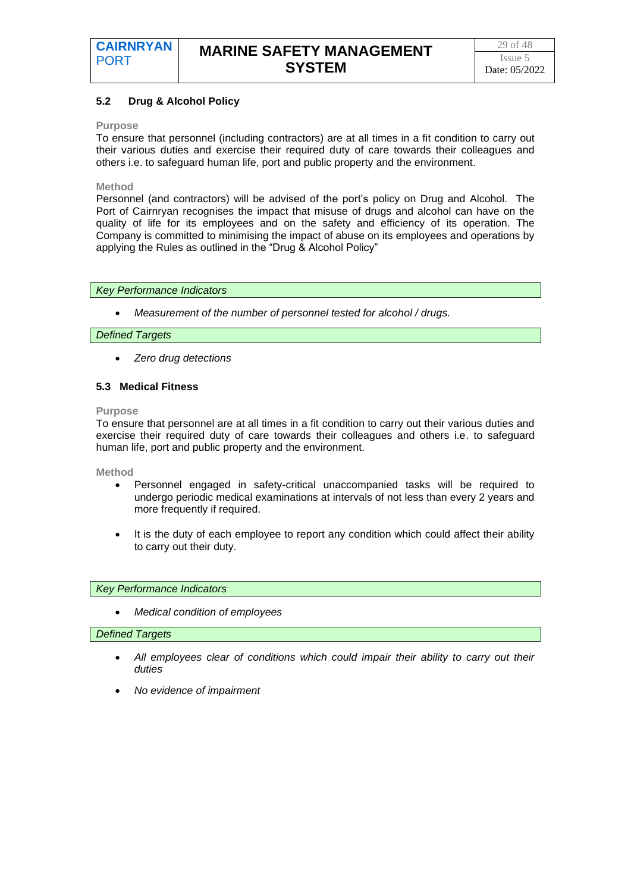## **5.2 Drug & Alcohol Policy**

#### **Purpose**

To ensure that personnel (including contractors) are at all times in a fit condition to carry out their various duties and exercise their required duty of care towards their colleagues and others i.e. to safeguard human life, port and public property and the environment.

## **Method**

Personnel (and contractors) will be advised of the port's policy on Drug and Alcohol. The Port of Cairnryan recognises the impact that misuse of drugs and alcohol can have on the quality of life for its employees and on the safety and efficiency of its operation. The Company is committed to minimising the impact of abuse on its employees and operations by applying the Rules as outlined in the "Drug & Alcohol Policy"

#### *Key Performance Indicators*

• *Measurement of the number of personnel tested for alcohol / drugs.*

## *Defined Targets*

• *Zero drug detections*

## **5.3 Medical Fitness**

#### **Purpose**

To ensure that personnel are at all times in a fit condition to carry out their various duties and exercise their required duty of care towards their colleagues and others i.e. to safeguard human life, port and public property and the environment.

**Method**

- Personnel engaged in safety-critical unaccompanied tasks will be required to undergo periodic medical examinations at intervals of not less than every 2 years and more frequently if required.
- It is the duty of each employee to report any condition which could affect their ability to carry out their duty.

## *Key Performance Indicators*

• *Medical condition of employees*

#### *Defined Targets*

- *All employees clear of conditions which could impair their ability to carry out their duties*
- *No evidence of impairment*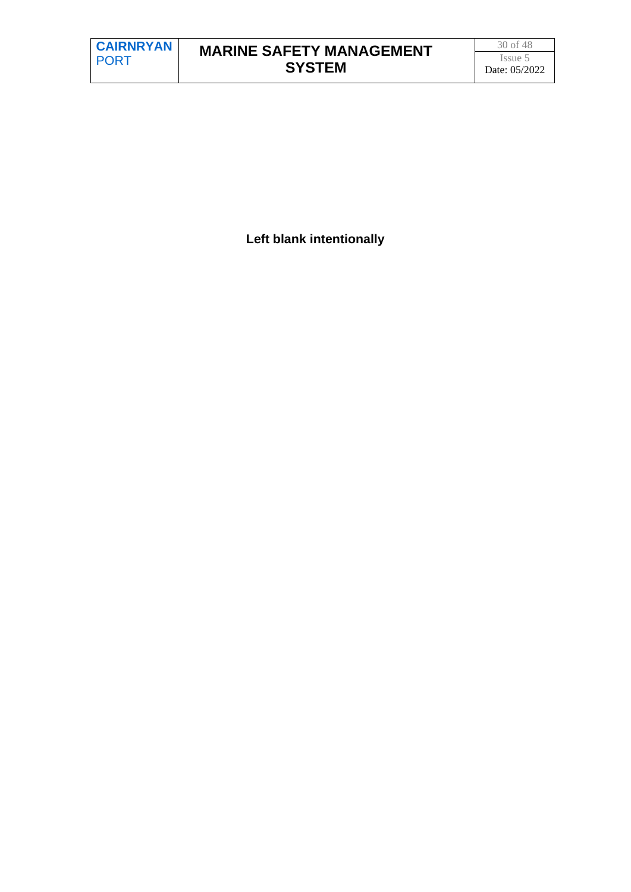**Left blank intentionally**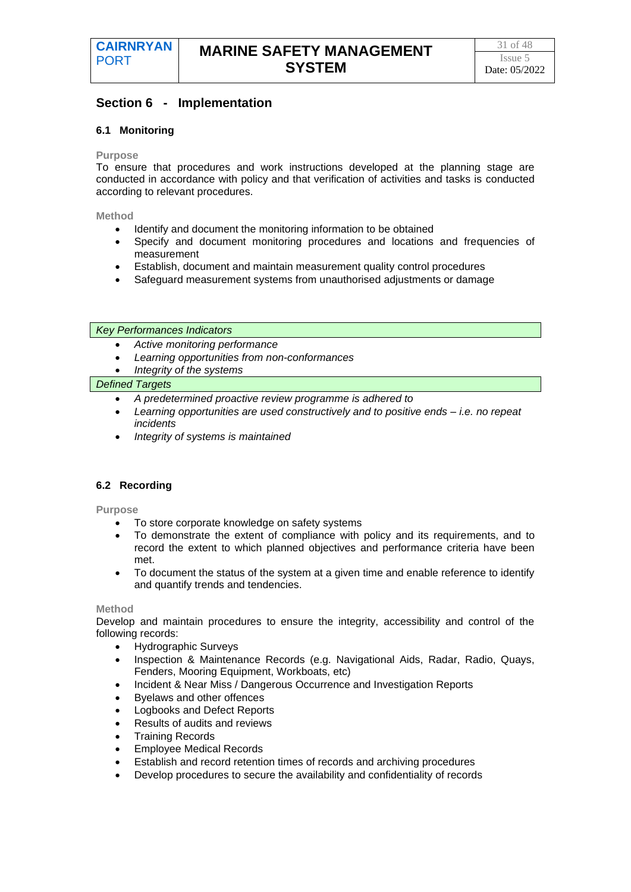## **Section 6 - Implementation**

## **6.1 Monitoring**

**Purpose**

To ensure that procedures and work instructions developed at the planning stage are conducted in accordance with policy and that verification of activities and tasks is conducted according to relevant procedures.

**Method**

- Identify and document the monitoring information to be obtained
- Specify and document monitoring procedures and locations and frequencies of measurement
- Establish, document and maintain measurement quality control procedures
- Safeguard measurement systems from unauthorised adjustments or damage

## *Key Performances Indicators*

- *Active monitoring performance*
- *Learning opportunities from non-conformances*
- *Integrity of the systems*

## *Defined Targets*

- *A predetermined proactive review programme is adhered to*
- *Learning opportunities are used constructively and to positive ends – i.e. no repeat incidents*
- *Integrity of systems is maintained*

## **6.2 Recording**

**Purpose**

- To store corporate knowledge on safety systems
- To demonstrate the extent of compliance with policy and its requirements, and to record the extent to which planned objectives and performance criteria have been met.
- To document the status of the system at a given time and enable reference to identify and quantify trends and tendencies.

## **Method**

Develop and maintain procedures to ensure the integrity, accessibility and control of the following records:

- Hydrographic Surveys
- Inspection & Maintenance Records (e.g. Navigational Aids, Radar, Radio, Quays, Fenders, Mooring Equipment, Workboats, etc)
- Incident & Near Miss / Dangerous Occurrence and Investigation Reports
- Byelaws and other offences
- Logbooks and Defect Reports
- Results of audits and reviews
- **Training Records**
- Employee Medical Records
- Establish and record retention times of records and archiving procedures
- Develop procedures to secure the availability and confidentiality of records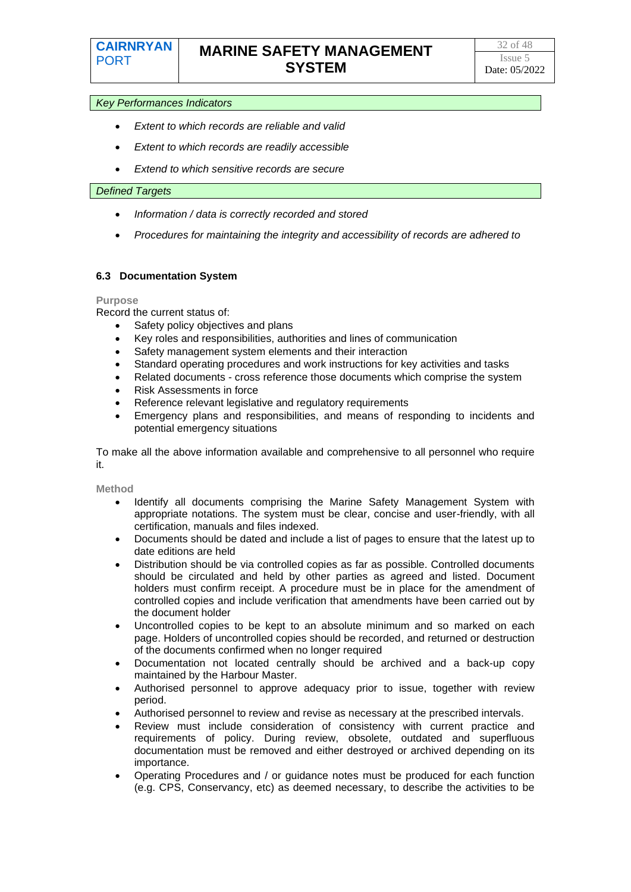## *Key Performances Indicators*

- *Extent to which records are reliable and valid*
- *Extent to which records are readily accessible*
- *Extend to which sensitive records are secure*

## *Defined Targets*

- *Information / data is correctly recorded and stored*
- *Procedures for maintaining the integrity and accessibility of records are adhered to*

## **6.3 Documentation System**

**Purpose**

Record the current status of:

- Safety policy objectives and plans
- Key roles and responsibilities, authorities and lines of communication
- Safety management system elements and their interaction
- Standard operating procedures and work instructions for key activities and tasks
- Related documents cross reference those documents which comprise the system
- Risk Assessments in force
- Reference relevant legislative and regulatory requirements
- Emergency plans and responsibilities, and means of responding to incidents and potential emergency situations

To make all the above information available and comprehensive to all personnel who require it.

**Method**

- Identify all documents comprising the Marine Safety Management System with appropriate notations. The system must be clear, concise and user-friendly, with all certification, manuals and files indexed.
- Documents should be dated and include a list of pages to ensure that the latest up to date editions are held
- Distribution should be via controlled copies as far as possible. Controlled documents should be circulated and held by other parties as agreed and listed. Document holders must confirm receipt. A procedure must be in place for the amendment of controlled copies and include verification that amendments have been carried out by the document holder
- Uncontrolled copies to be kept to an absolute minimum and so marked on each page. Holders of uncontrolled copies should be recorded, and returned or destruction of the documents confirmed when no longer required
- Documentation not located centrally should be archived and a back-up copy maintained by the Harbour Master.
- Authorised personnel to approve adequacy prior to issue, together with review period.
- Authorised personnel to review and revise as necessary at the prescribed intervals.
- Review must include consideration of consistency with current practice and requirements of policy. During review, obsolete, outdated and superfluous documentation must be removed and either destroyed or archived depending on its importance.
- Operating Procedures and / or guidance notes must be produced for each function (e.g. CPS, Conservancy, etc) as deemed necessary, to describe the activities to be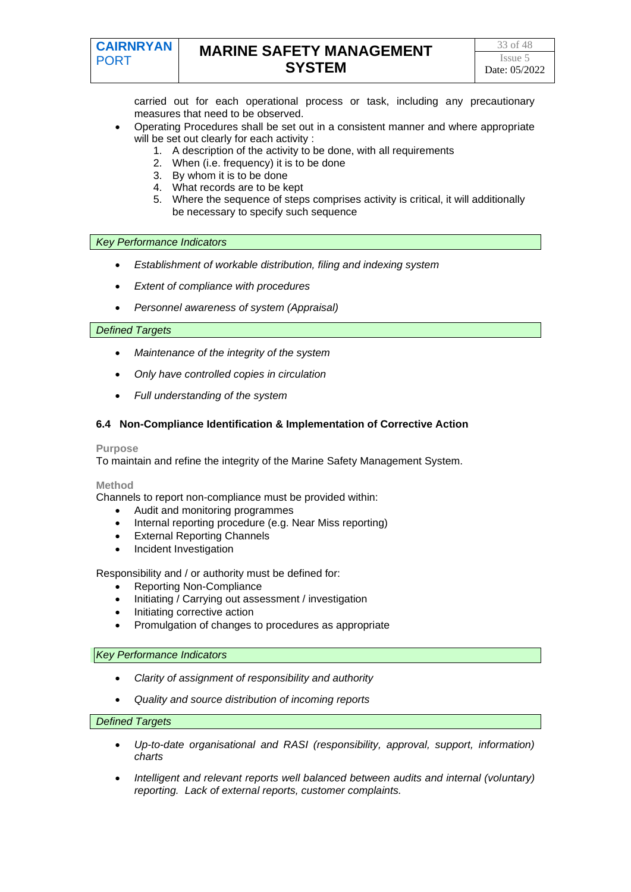carried out for each operational process or task, including any precautionary measures that need to be observed.

- Operating Procedures shall be set out in a consistent manner and where appropriate will be set out clearly for each activity :
	- 1. A description of the activity to be done, with all requirements
	- 2. When (i.e. frequency) it is to be done
	- 3. By whom it is to be done
	- 4. What records are to be kept
	- 5. Where the sequence of steps comprises activity is critical, it will additionally be necessary to specify such sequence

## *Key Performance Indicators*

- *Establishment of workable distribution, filing and indexing system*
- *Extent of compliance with procedures*
- *Personnel awareness of system (Appraisal)*

## *Defined Targets*

- *Maintenance of the integrity of the system*
- *Only have controlled copies in circulation*
- *Full understanding of the system*

## **6.4 Non-Compliance Identification & Implementation of Corrective Action**

## **Purpose**

To maintain and refine the integrity of the Marine Safety Management System.

## **Method**

Channels to report non-compliance must be provided within:

- Audit and monitoring programmes
- Internal reporting procedure (e.g. Near Miss reporting)
- External Reporting Channels
- Incident Investigation

Responsibility and / or authority must be defined for:

- Reporting Non-Compliance
- Initiating / Carrying out assessment / investigation
- Initiating corrective action
- Promulgation of changes to procedures as appropriate

## *Key Performance Indicators*

- *Clarity of assignment of responsibility and authority*
- *Quality and source distribution of incoming reports*

## *Defined Targets*

- *Up-to-date organisational and RASI (responsibility, approval, support, information) charts*
- *Intelligent and relevant reports well balanced between audits and internal (voluntary) reporting. Lack of external reports, customer complaints.*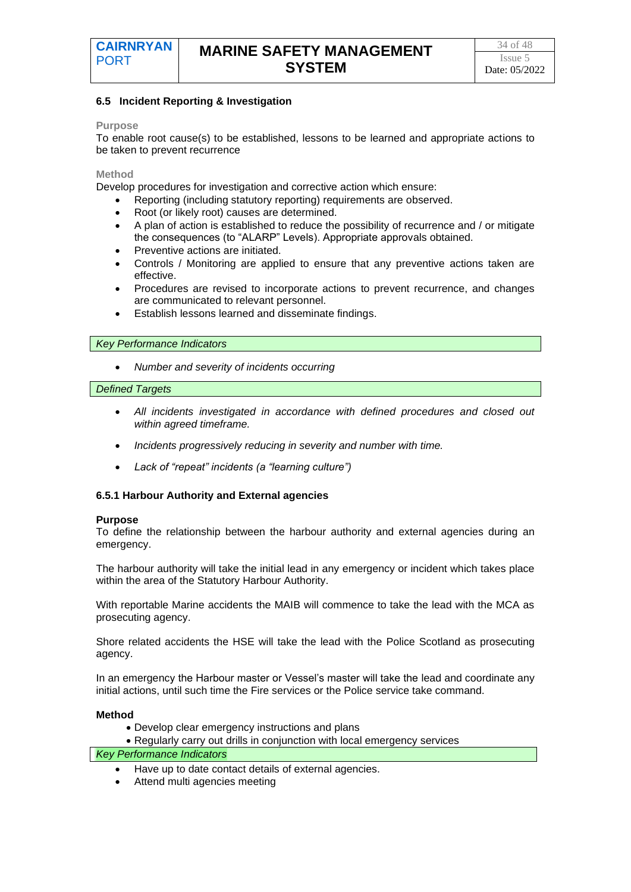## **6.5 Incident Reporting & Investigation**

#### **Purpose**

To enable root cause(s) to be established, lessons to be learned and appropriate actions to be taken to prevent recurrence

#### **Method**

Develop procedures for investigation and corrective action which ensure:

- Reporting (including statutory reporting) requirements are observed.
- Root (or likely root) causes are determined.
- A plan of action is established to reduce the possibility of recurrence and / or mitigate the consequences (to "ALARP" Levels). Appropriate approvals obtained.
- Preventive actions are initiated.
- Controls / Monitoring are applied to ensure that any preventive actions taken are effective.
- Procedures are revised to incorporate actions to prevent recurrence, and changes are communicated to relevant personnel.
- Establish lessons learned and disseminate findings.

## *Key Performance Indicators*

• *Number and severity of incidents occurring*

## *Defined Targets*

- *All incidents investigated in accordance with defined procedures and closed out within agreed timeframe.*
- *Incidents progressively reducing in severity and number with time.*
- *Lack of "repeat" incidents (a "learning culture")*

## **6.5.1 Harbour Authority and External agencies**

## **Purpose**

To define the relationship between the harbour authority and external agencies during an emergency.

The harbour authority will take the initial lead in any emergency or incident which takes place within the area of the Statutory Harbour Authority.

With reportable Marine accidents the MAIB will commence to take the lead with the MCA as prosecuting agency.

Shore related accidents the HSE will take the lead with the Police Scotland as prosecuting agency.

In an emergency the Harbour master or Vessel's master will take the lead and coordinate any initial actions, until such time the Fire services or the Police service take command.

## **Method**

• Develop clear emergency instructions and plans

• Regularly carry out drills in conjunction with local emergency services

## *Key Performance Indicators*

- Have up to date contact details of external agencies.
- Attend multi agencies meeting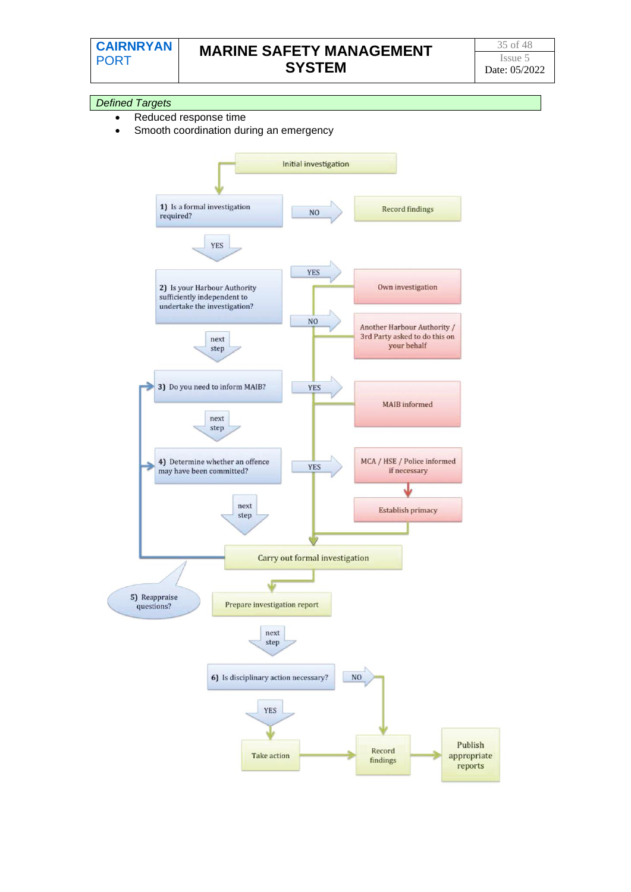# **MARINE SAFETY MANAGEMENT SYSTEM**

## *Defined Targets*

- Reduced response time
- Smooth coordination during an emergency

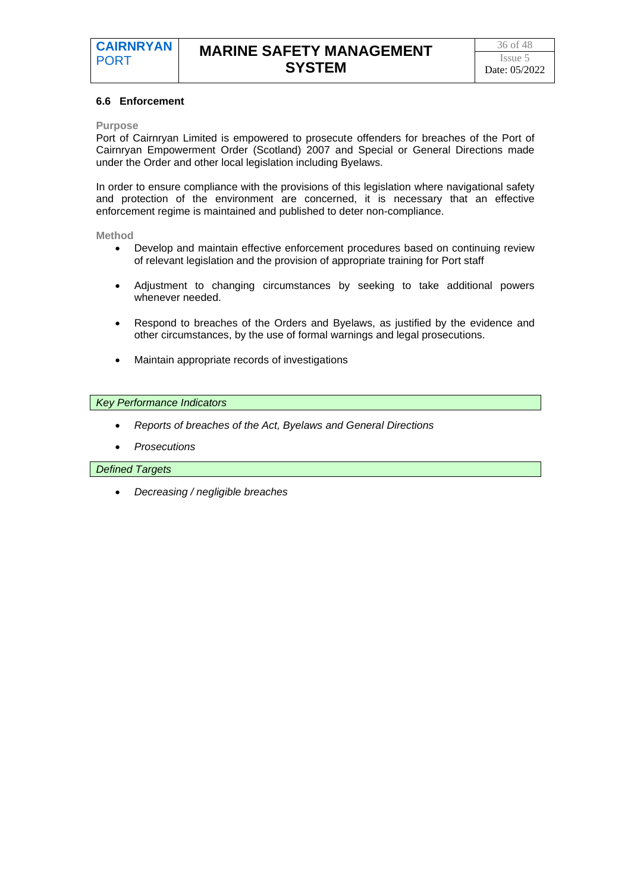## **6.6 Enforcement**

#### **Purpose**

Port of Cairnryan Limited is empowered to prosecute offenders for breaches of the Port of Cairnryan Empowerment Order (Scotland) 2007 and Special or General Directions made under the Order and other local legislation including Byelaws.

In order to ensure compliance with the provisions of this legislation where navigational safety and protection of the environment are concerned, it is necessary that an effective enforcement regime is maintained and published to deter non-compliance.

**Method**

- Develop and maintain effective enforcement procedures based on continuing review of relevant legislation and the provision of appropriate training for Port staff
- Adjustment to changing circumstances by seeking to take additional powers whenever needed.
- Respond to breaches of the Orders and Byelaws, as justified by the evidence and other circumstances, by the use of formal warnings and legal prosecutions.
- Maintain appropriate records of investigations

## *Key Performance Indicators*

- *Reports of breaches of the Act, Byelaws and General Directions*
- *Prosecutions*

## *Defined Targets*

• *Decreasing / negligible breaches*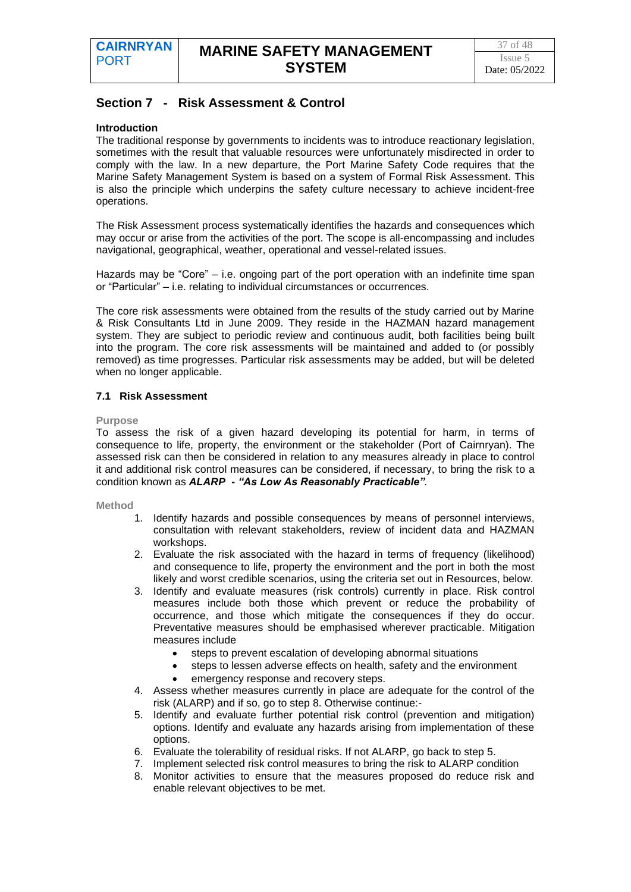# **Section 7 - Risk Assessment & Control**

## **Introduction**

The traditional response by governments to incidents was to introduce reactionary legislation, sometimes with the result that valuable resources were unfortunately misdirected in order to comply with the law. In a new departure, the Port Marine Safety Code requires that the Marine Safety Management System is based on a system of Formal Risk Assessment. This is also the principle which underpins the safety culture necessary to achieve incident-free operations.

The Risk Assessment process systematically identifies the hazards and consequences which may occur or arise from the activities of the port. The scope is all-encompassing and includes navigational, geographical, weather, operational and vessel-related issues.

Hazards may be "Core" – i.e. ongoing part of the port operation with an indefinite time span or "Particular" – i.e. relating to individual circumstances or occurrences.

The core risk assessments were obtained from the results of the study carried out by Marine & Risk Consultants Ltd in June 2009. They reside in the HAZMAN hazard management system. They are subject to periodic review and continuous audit, both facilities being built into the program. The core risk assessments will be maintained and added to (or possibly removed) as time progresses. Particular risk assessments may be added, but will be deleted when no longer applicable.

## **7.1 Risk Assessment**

#### **Purpose**

To assess the risk of a given hazard developing its potential for harm, in terms of consequence to life, property, the environment or the stakeholder (Port of Cairnryan). The assessed risk can then be considered in relation to any measures already in place to control it and additional risk control measures can be considered, if necessary, to bring the risk to a condition known as *ALARP - "As Low As Reasonably Practicable".*

**Method**

- 1. Identify hazards and possible consequences by means of personnel interviews, consultation with relevant stakeholders, review of incident data and HAZMAN workshops.
- 2. Evaluate the risk associated with the hazard in terms of frequency (likelihood) and consequence to life, property the environment and the port in both the most likely and worst credible scenarios, using the criteria set out in Resources, below.
- 3. Identify and evaluate measures (risk controls) currently in place. Risk control measures include both those which prevent or reduce the probability of occurrence, and those which mitigate the consequences if they do occur. Preventative measures should be emphasised wherever practicable. Mitigation measures include
	- steps to prevent escalation of developing abnormal situations
	- steps to lessen adverse effects on health, safety and the environment
	- emergency response and recovery steps.
- 4. Assess whether measures currently in place are adequate for the control of the risk (ALARP) and if so, go to step 8. Otherwise continue:-
- 5. Identify and evaluate further potential risk control (prevention and mitigation) options. Identify and evaluate any hazards arising from implementation of these options.
- 6. Evaluate the tolerability of residual risks. If not ALARP, go back to step 5.
- 7. Implement selected risk control measures to bring the risk to ALARP condition
- 8. Monitor activities to ensure that the measures proposed do reduce risk and enable relevant objectives to be met.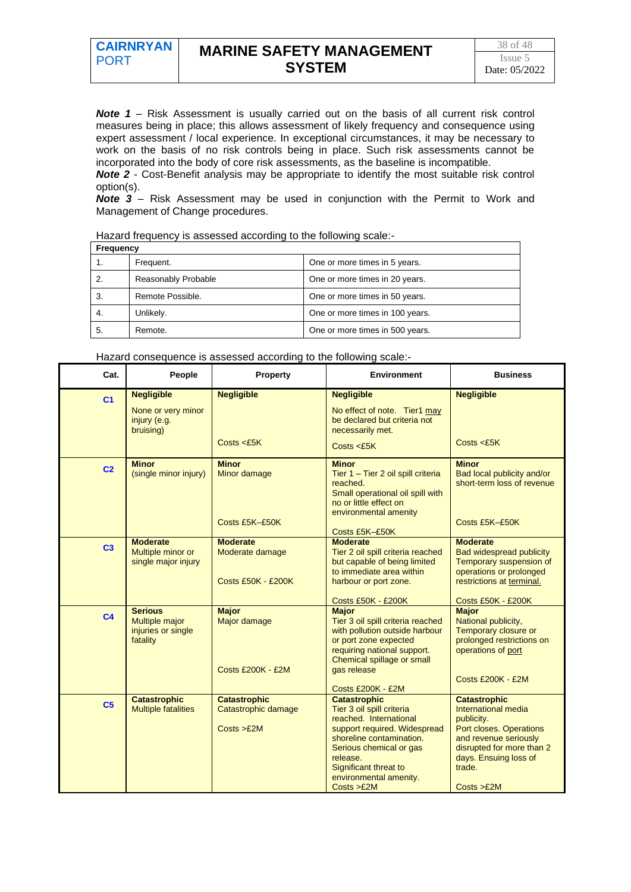*Note 1* – Risk Assessment is usually carried out on the basis of all current risk control measures being in place; this allows assessment of likely frequency and consequence using expert assessment / local experience. In exceptional circumstances, it may be necessary to work on the basis of no risk controls being in place. Such risk assessments cannot be incorporated into the body of core risk assessments, as the baseline is incompatible.

*Note 2* - Cost-Benefit analysis may be appropriate to identify the most suitable risk control option(s).

*Note 3* – Risk Assessment may be used in conjunction with the Permit to Work and Management of Change procedures.

Hazard frequency is assessed according to the following scale:-

| Frequency |                            |                                 |  |  |
|-----------|----------------------------|---------------------------------|--|--|
|           | Frequent.                  | One or more times in 5 years.   |  |  |
| 2.        | <b>Reasonably Probable</b> | One or more times in 20 years.  |  |  |
| -3.       | Remote Possible.           | One or more times in 50 years.  |  |  |
| 4.        | Unlikely.                  | One or more times in 100 years. |  |  |
| 5.        | Remote.                    | One or more times in 500 years. |  |  |

Hazard consequence is assessed according to the following scale:-

| Cat.           | People                                                             | Property                                                  | <b>Environment</b>                                                                                                                                                                                                                              | <b>Business</b>                                                                                                                                                                             |
|----------------|--------------------------------------------------------------------|-----------------------------------------------------------|-------------------------------------------------------------------------------------------------------------------------------------------------------------------------------------------------------------------------------------------------|---------------------------------------------------------------------------------------------------------------------------------------------------------------------------------------------|
| C <sub>1</sub> | <b>Negligible</b>                                                  | <b>Negligible</b>                                         | <b>Negligible</b>                                                                                                                                                                                                                               | <b>Negligible</b>                                                                                                                                                                           |
|                | None or very minor<br>injury (e.g.<br>bruising)                    |                                                           | No effect of note. Tier1 may<br>be declared but criteria not<br>necessarily met.                                                                                                                                                                |                                                                                                                                                                                             |
|                |                                                                    | Costs <£5K                                                | Costs <£5K                                                                                                                                                                                                                                      | Costs <£5K                                                                                                                                                                                  |
| C <sub>2</sub> | <b>Minor</b><br>(single minor injury)                              | <b>Minor</b><br>Minor damage                              | <b>Minor</b><br>Tier 1 - Tier 2 oil spill criteria<br>reached.<br>Small operational oil spill with<br>no or little effect on<br>environmental amenity                                                                                           | <b>Minor</b><br>Bad local publicity and/or<br>short-term loss of revenue                                                                                                                    |
|                |                                                                    | Costs £5K-£50K                                            | Costs £5K-£50K                                                                                                                                                                                                                                  | Costs £5K-£50K                                                                                                                                                                              |
| C <sub>3</sub> | <b>Moderate</b><br>Multiple minor or<br>single major injury        | <b>Moderate</b><br>Moderate damage                        | <b>Moderate</b><br>Tier 2 oil spill criteria reached<br>but capable of being limited<br>to immediate area within                                                                                                                                | <b>Moderate</b><br><b>Bad widespread publicity</b><br>Temporary suspension of<br>operations or prolonged                                                                                    |
|                |                                                                    | Costs £50K - £200K                                        | harbour or port zone.<br>Costs £50K - £200K                                                                                                                                                                                                     | restrictions at terminal.<br><b>Costs £50K - £200K</b>                                                                                                                                      |
| C <sub>4</sub> | <b>Serious</b><br>Multiple major<br>injuries or single<br>fatality | <b>Major</b><br>Major damage                              | <b>Major</b><br>Tier 3 oil spill criteria reached<br>with pollution outside harbour<br>or port zone expected<br>requiring national support.<br>Chemical spillage or small                                                                       | <b>Major</b><br>National publicity,<br>Temporary closure or<br>prolonged restrictions on<br>operations of port                                                                              |
|                |                                                                    | Costs £200K - £2M                                         | gas release<br>Costs £200K - £2M                                                                                                                                                                                                                | Costs £200K - £2M                                                                                                                                                                           |
| C <sub>5</sub> | <b>Catastrophic</b><br><b>Multiple fatalities</b>                  | <b>Catastrophic</b><br>Catastrophic damage<br>Costs > £2M | <b>Catastrophic</b><br>Tier 3 oil spill criteria<br>reached. International<br>support required. Widespread<br>shoreline contamination.<br>Serious chemical or gas<br>release.<br>Significant threat to<br>environmental amenity.<br>Costs > £2M | <b>Catastrophic</b><br>International media<br>publicity.<br>Port closes. Operations<br>and revenue seriously<br>disrupted for more than 2<br>days. Ensuing loss of<br>trade.<br>Costs > £2M |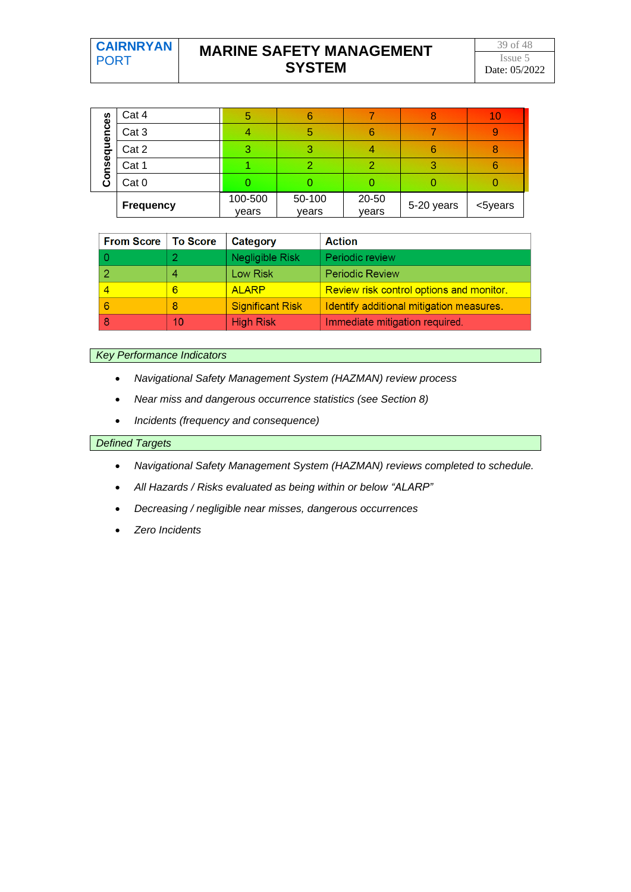# **MARINE SAFETY MANAGEMENT SYSTEM**

|        | Cat 4            | 5                |                 |                |            |         |
|--------|------------------|------------------|-----------------|----------------|------------|---------|
| uences | Cat 3            |                  | 5               | 6              |            |         |
|        | Cat 2            |                  |                 |                | 6          |         |
| onseq  | Cat 1            |                  |                 |                |            |         |
| ပ      | Cat 0            |                  |                 |                |            |         |
|        | <b>Frequency</b> | 100-500<br>vears | 50-100<br>vears | 20-50<br>vears | 5-20 years | <5years |

| <b>From Score</b> | <b>To Score</b> | Category                | <b>Action</b>                            |
|-------------------|-----------------|-------------------------|------------------------------------------|
|                   |                 | <b>Negligible Risk</b>  | Periodic review                          |
|                   | 4               | <b>Low Risk</b>         | <b>Periodic Review</b>                   |
|                   | 6               | <b>ALARP</b>            | Review risk control options and monitor. |
| 6                 | 8               | <b>Significant Risk</b> | Identify additional mitigation measures. |
|                   | 10              | <b>High Risk</b>        | Immediate mitigation required.           |

## *Key Performance Indicators*

- *Navigational Safety Management System (HAZMAN) review process*
- *Near miss and dangerous occurrence statistics (see Section 8)*
- *Incidents (frequency and consequence)*

## *Defined Targets*

- *Navigational Safety Management System (HAZMAN) reviews completed to schedule.*
- *All Hazards / Risks evaluated as being within or below "ALARP"*
- *Decreasing / negligible near misses, dangerous occurrences*
- *Zero Incidents*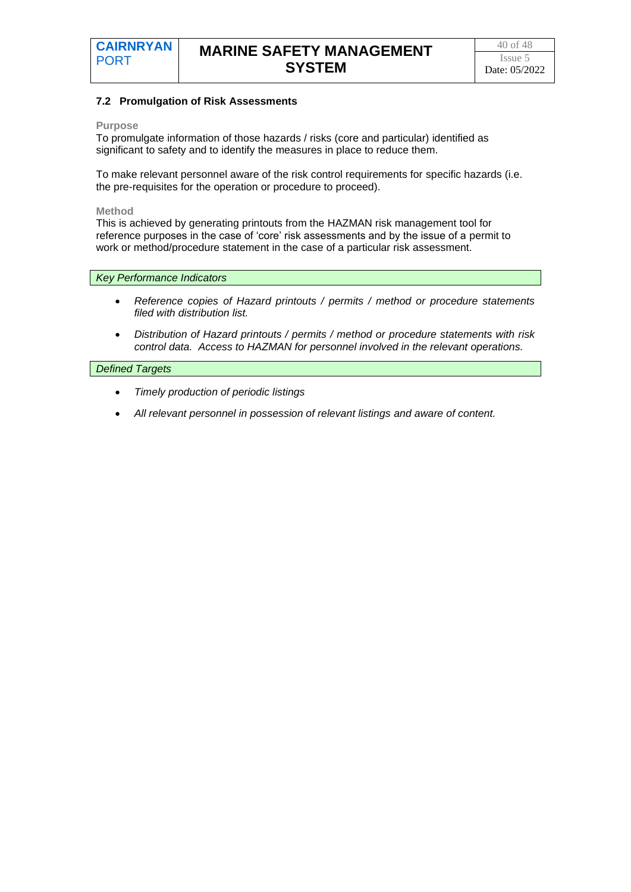## **7.2 Promulgation of Risk Assessments**

#### **Purpose**

To promulgate information of those hazards / risks (core and particular) identified as significant to safety and to identify the measures in place to reduce them.

To make relevant personnel aware of the risk control requirements for specific hazards (i.e. the pre-requisites for the operation or procedure to proceed).

#### **Method**

This is achieved by generating printouts from the HAZMAN risk management tool for reference purposes in the case of 'core' risk assessments and by the issue of a permit to work or method/procedure statement in the case of a particular risk assessment.

## *Key Performance Indicators*

- *Reference copies of Hazard printouts / permits / method or procedure statements filed with distribution list.*
- *Distribution of Hazard printouts / permits / method or procedure statements with risk control data. Access to HAZMAN for personnel involved in the relevant operations.*

## *Defined Targets*

- *Timely production of periodic listings*
- *All relevant personnel in possession of relevant listings and aware of content.*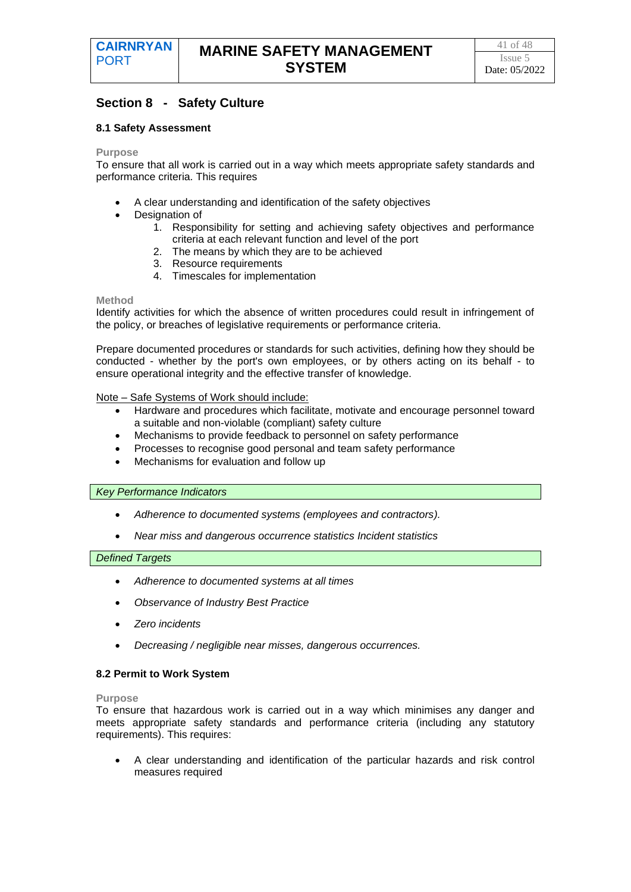## **Section 8 - Safety Culture**

## **8.1 Safety Assessment**

**Purpose**

To ensure that all work is carried out in a way which meets appropriate safety standards and performance criteria. This requires

- A clear understanding and identification of the safety objectives
- Designation of
	- 1. Responsibility for setting and achieving safety objectives and performance criteria at each relevant function and level of the port
	- 2. The means by which they are to be achieved
	- 3. Resource requirements
	- 4. Timescales for implementation

## **Method**

Identify activities for which the absence of written procedures could result in infringement of the policy, or breaches of legislative requirements or performance criteria.

Prepare documented procedures or standards for such activities, defining how they should be conducted - whether by the port's own employees, or by others acting on its behalf - to ensure operational integrity and the effective transfer of knowledge.

## Note – Safe Systems of Work should include:

- Hardware and procedures which facilitate, motivate and encourage personnel toward a suitable and non-violable (compliant) safety culture
- Mechanisms to provide feedback to personnel on safety performance
- Processes to recognise good personal and team safety performance
- Mechanisms for evaluation and follow up

## *Key Performance Indicators*

- *Adherence to documented systems (employees and contractors).*
- *Near miss and dangerous occurrence statistics Incident statistics*

#### *Defined Targets*

- *Adherence to documented systems at all times*
- *Observance of Industry Best Practice*
- *Zero incidents*
- *Decreasing / negligible near misses, dangerous occurrences.*

## **8.2 Permit to Work System**

#### **Purpose**

To ensure that hazardous work is carried out in a way which minimises any danger and meets appropriate safety standards and performance criteria (including any statutory requirements). This requires:

• A clear understanding and identification of the particular hazards and risk control measures required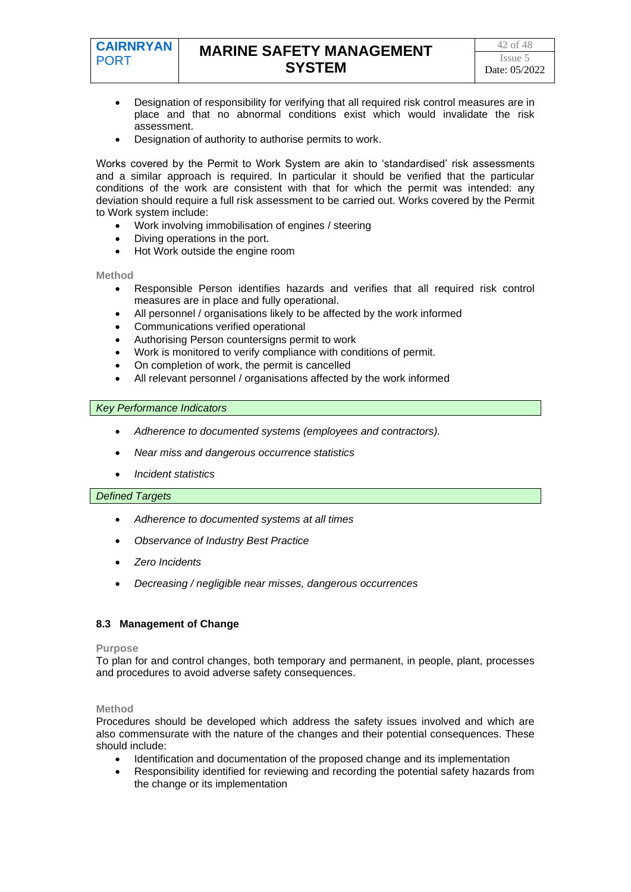- Designation of responsibility for verifying that all required risk control measures are in place and that no abnormal conditions exist which would invalidate the risk assessment.
- Designation of authority to authorise permits to work.

Works covered by the Permit to Work System are akin to 'standardised' risk assessments and a similar approach is required. In particular it should be verified that the particular conditions of the work are consistent with that for which the permit was intended: any deviation should require a full risk assessment to be carried out. Works covered by the Permit to Work system include:

- Work involving immobilisation of engines / steering
- Diving operations in the port.
- Hot Work outside the engine room

**Method**

- Responsible Person identifies hazards and verifies that all required risk control measures are in place and fully operational.
- All personnel / organisations likely to be affected by the work informed
- Communications verified operational
- Authorising Person countersigns permit to work
- Work is monitored to verify compliance with conditions of permit.
- On completion of work, the permit is cancelled
- All relevant personnel / organisations affected by the work informed

#### *Key Performance Indicators*

- *Adherence to documented systems (employees and contractors).*
- *Near miss and dangerous occurrence statistics*
- *Incident statistics*

## *Defined Targets*

- *Adherence to documented systems at all times*
- *Observance of Industry Best Practice*
- *Zero Incidents*
- *Decreasing / negligible near misses, dangerous occurrences*

## **8.3 Management of Change**

**Purpose**

To plan for and control changes, both temporary and permanent, in people, plant, processes and procedures to avoid adverse safety consequences.

**Method**

Procedures should be developed which address the safety issues involved and which are also commensurate with the nature of the changes and their potential consequences. These should include:

- Identification and documentation of the proposed change and its implementation
- Responsibility identified for reviewing and recording the potential safety hazards from the change or its implementation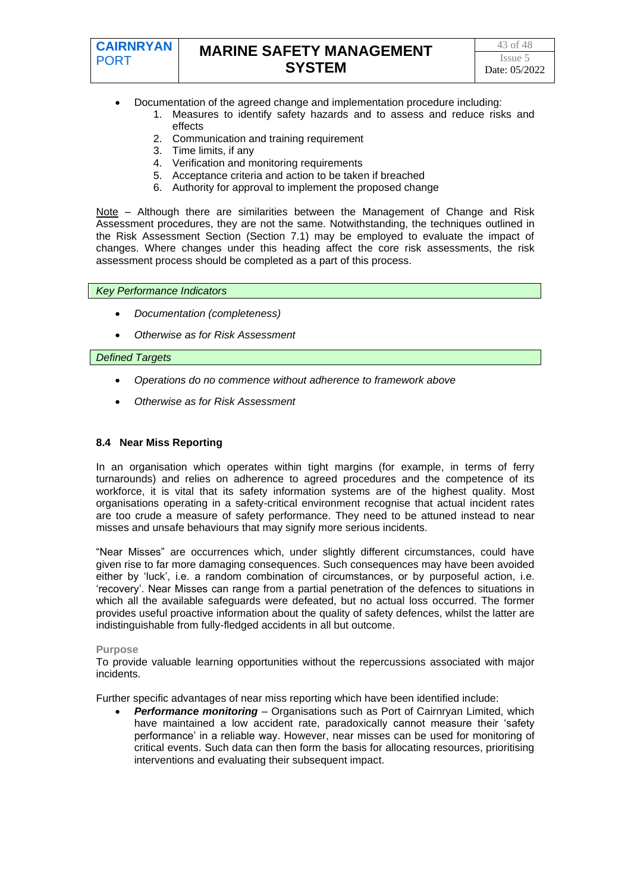- Documentation of the agreed change and implementation procedure including:
	- 1. Measures to identify safety hazards and to assess and reduce risks and effects
	- 2. Communication and training requirement
	- 3. Time limits, if any
	- 4. Verification and monitoring requirements
	- 5. Acceptance criteria and action to be taken if breached
	- 6. Authority for approval to implement the proposed change

Note – Although there are similarities between the Management of Change and Risk Assessment procedures, they are not the same. Notwithstanding, the techniques outlined in the Risk Assessment Section (Section 7.1) may be employed to evaluate the impact of changes. Where changes under this heading affect the core risk assessments, the risk assessment process should be completed as a part of this process.

*Key Performance Indicators*

- *Documentation (completeness)*
- *Otherwise as for Risk Assessment*

#### *Defined Targets*

- *Operations do no commence without adherence to framework above*
- *Otherwise as for Risk Assessment*

## **8.4 Near Miss Reporting**

In an organisation which operates within tight margins (for example, in terms of ferry turnarounds) and relies on adherence to agreed procedures and the competence of its workforce, it is vital that its safety information systems are of the highest quality. Most organisations operating in a safety-critical environment recognise that actual incident rates are too crude a measure of safety performance. They need to be attuned instead to near misses and unsafe behaviours that may signify more serious incidents.

"Near Misses" are occurrences which, under slightly different circumstances, could have given rise to far more damaging consequences. Such consequences may have been avoided either by 'luck', i.e. a random combination of circumstances, or by purposeful action, i.e. 'recovery'. Near Misses can range from a partial penetration of the defences to situations in which all the available safeguards were defeated, but no actual loss occurred. The former provides useful proactive information about the quality of safety defences, whilst the latter are indistinguishable from fully-fledged accidents in all but outcome.

#### **Purpose**

To provide valuable learning opportunities without the repercussions associated with major incidents.

Further specific advantages of near miss reporting which have been identified include:

**Performance monitoring** – Organisations such as Port of Cairnryan Limited, which have maintained a low accident rate, paradoxically cannot measure their 'safety performance' in a reliable way. However, near misses can be used for monitoring of critical events. Such data can then form the basis for allocating resources, prioritising interventions and evaluating their subsequent impact.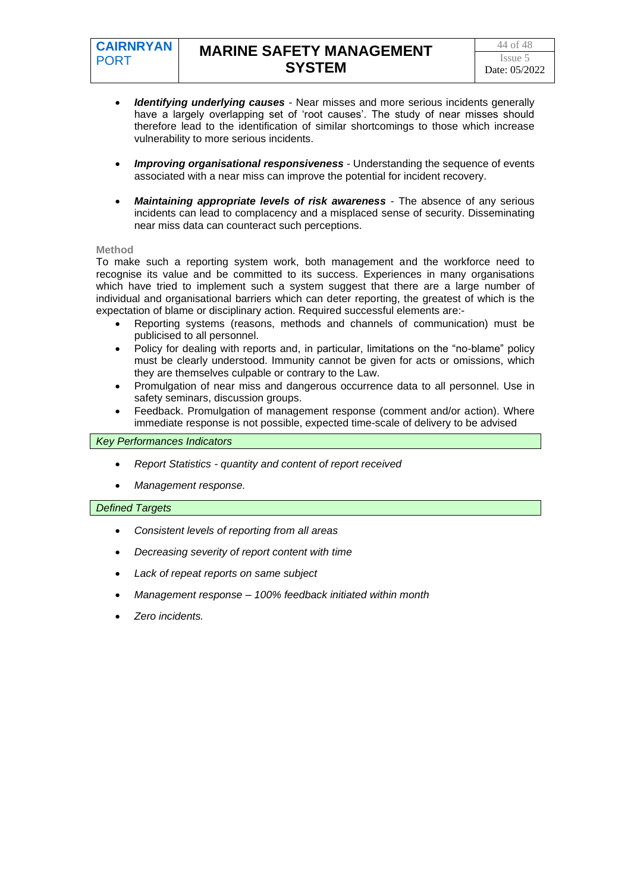- *Identifying underlying causes* Near misses and more serious incidents generally have a largely overlapping set of 'root causes'. The study of near misses should therefore lead to the identification of similar shortcomings to those which increase vulnerability to more serious incidents.
- **Improving organisational responsiveness** Understanding the sequence of events associated with a near miss can improve the potential for incident recovery.
- *Maintaining appropriate levels of risk awareness* The absence of any serious incidents can lead to complacency and a misplaced sense of security. Disseminating near miss data can counteract such perceptions.

## **Method**

To make such a reporting system work, both management and the workforce need to recognise its value and be committed to its success. Experiences in many organisations which have tried to implement such a system suggest that there are a large number of individual and organisational barriers which can deter reporting, the greatest of which is the expectation of blame or disciplinary action. Required successful elements are:-

- Reporting systems (reasons, methods and channels of communication) must be publicised to all personnel.
- Policy for dealing with reports and, in particular, limitations on the "no-blame" policy must be clearly understood. Immunity cannot be given for acts or omissions, which they are themselves culpable or contrary to the Law.
- Promulgation of near miss and dangerous occurrence data to all personnel. Use in safety seminars, discussion groups.
- Feedback. Promulgation of management response (comment and/or action). Where immediate response is not possible, expected time-scale of delivery to be advised

#### *Key Performances Indicators*

- *Report Statistics - quantity and content of report received*
- *Management response.*

## *Defined Targets*

- *Consistent levels of reporting from all areas*
- *Decreasing severity of report content with time*
- *Lack of repeat reports on same subject*
- *Management response – 100% feedback initiated within month*
- *Zero incidents.*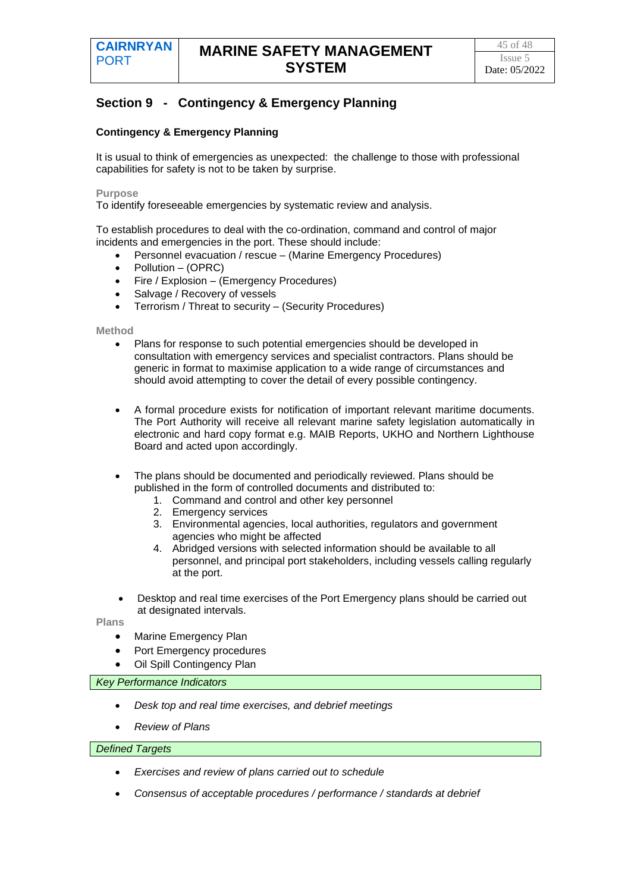# **Section 9 - Contingency & Emergency Planning**

## **Contingency & Emergency Planning**

It is usual to think of emergencies as unexpected: the challenge to those with professional capabilities for safety is not to be taken by surprise.

#### **Purpose**

To identify foreseeable emergencies by systematic review and analysis.

To establish procedures to deal with the co-ordination, command and control of major incidents and emergencies in the port. These should include:

- Personnel evacuation / rescue (Marine Emergency Procedures)
- Pollution (OPRC)
- Fire / Explosion (Emergency Procedures)
- Salvage / Recovery of vessels
- Terrorism / Threat to security (Security Procedures)

**Method**

- Plans for response to such potential emergencies should be developed in consultation with emergency services and specialist contractors. Plans should be generic in format to maximise application to a wide range of circumstances and should avoid attempting to cover the detail of every possible contingency.
- A formal procedure exists for notification of important relevant maritime documents. The Port Authority will receive all relevant marine safety legislation automatically in electronic and hard copy format e.g. MAIB Reports, UKHO and Northern Lighthouse Board and acted upon accordingly.
- The plans should be documented and periodically reviewed. Plans should be published in the form of controlled documents and distributed to:
	- 1. Command and control and other key personnel
	- 2. Emergency services
	- 3. Environmental agencies, local authorities, regulators and government agencies who might be affected
	- 4. Abridged versions with selected information should be available to all personnel, and principal port stakeholders, including vessels calling regularly at the port.
- Desktop and real time exercises of the Port Emergency plans should be carried out at designated intervals.

**Plans** 

- Marine Emergency Plan
- Port Emergency procedures
- **Oil Spill Contingency Plan**

## *Key Performance Indicators*

- *Desk top and real time exercises, and debrief meetings*
- *Review of Plans*

*Defined Targets*

- *Exercises and review of plans carried out to schedule*
- *Consensus of acceptable procedures / performance / standards at debrief*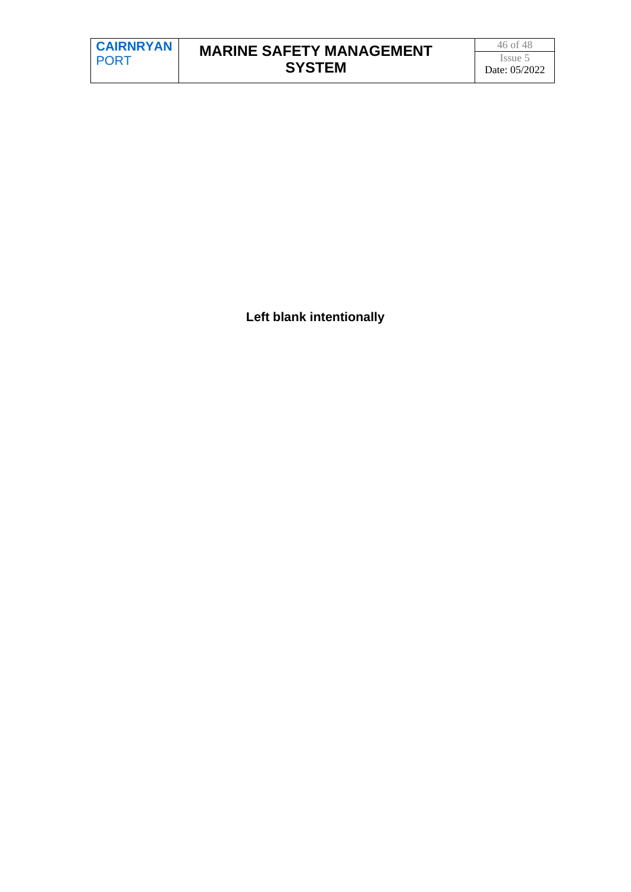**Left blank intentionally**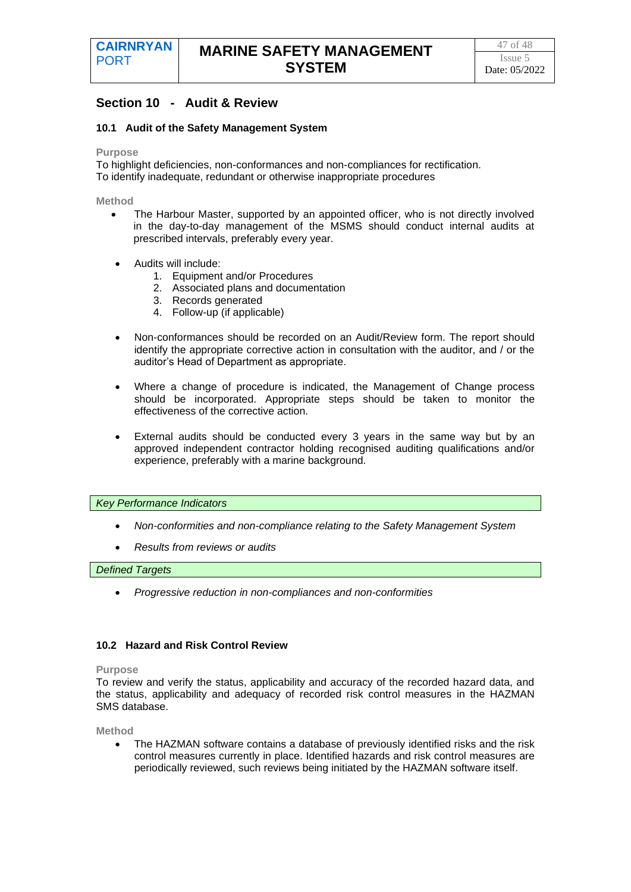## **Section 10 - Audit & Review**

## **10.1 Audit of the Safety Management System**

**Purpose**

To highlight deficiencies, non-conformances and non-compliances for rectification. To identify inadequate, redundant or otherwise inappropriate procedures

**Method**

- The Harbour Master, supported by an appointed officer, who is not directly involved in the day-to-day management of the MSMS should conduct internal audits at prescribed intervals, preferably every year.
- Audits will include:
	- 1. Equipment and/or Procedures
	- 2. Associated plans and documentation
	- 3. Records generated
	- 4. Follow-up (if applicable)
- Non-conformances should be recorded on an Audit/Review form. The report should identify the appropriate corrective action in consultation with the auditor, and / or the auditor's Head of Department as appropriate.
- Where a change of procedure is indicated, the Management of Change process should be incorporated. Appropriate steps should be taken to monitor the effectiveness of the corrective action.
- External audits should be conducted every 3 years in the same way but by an approved independent contractor holding recognised auditing qualifications and/or experience, preferably with a marine background.

## *Key Performance Indicators*

- *Non-conformities and non-compliance relating to the Safety Management System*
- *Results from reviews or audits*

#### *Defined Targets*

• *Progressive reduction in non-compliances and non-conformities*

## **10.2 Hazard and Risk Control Review**

#### **Purpose**

To review and verify the status, applicability and accuracy of the recorded hazard data, and the status, applicability and adequacy of recorded risk control measures in the HAZMAN SMS database.

**Method**

• The HAZMAN software contains a database of previously identified risks and the risk control measures currently in place. Identified hazards and risk control measures are periodically reviewed, such reviews being initiated by the HAZMAN software itself.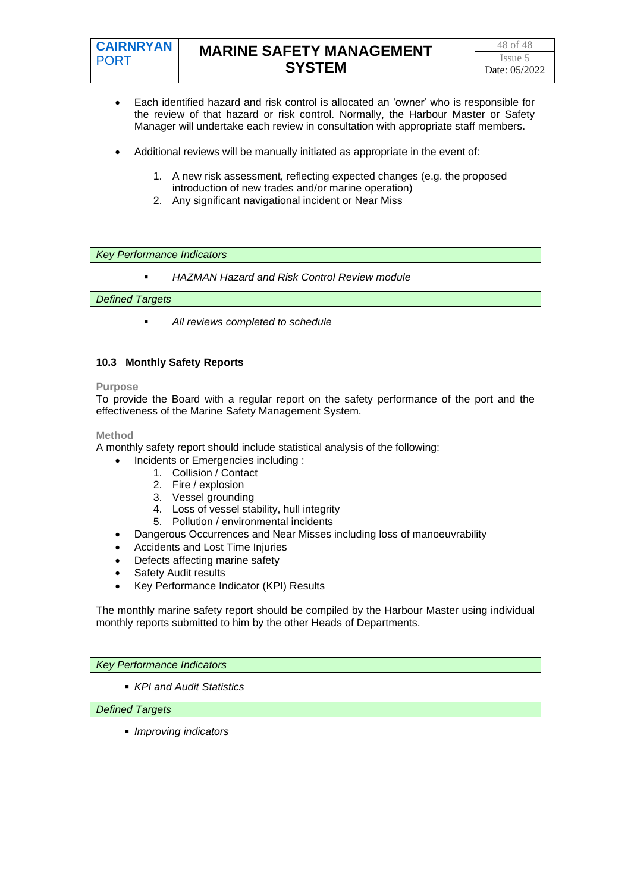- Each identified hazard and risk control is allocated an 'owner' who is responsible for the review of that hazard or risk control. Normally, the Harbour Master or Safety Manager will undertake each review in consultation with appropriate staff members.
- Additional reviews will be manually initiated as appropriate in the event of:
	- 1. A new risk assessment, reflecting expected changes (e.g. the proposed introduction of new trades and/or marine operation)
	- 2. Any significant navigational incident or Near Miss

*Key Performance Indicators*

**HAZMAN Hazard and Risk Control Review module** 

*Defined Targets*

▪ *All reviews completed to schedule*

## **10.3 Monthly Safety Reports**

## **Purpose**

To provide the Board with a regular report on the safety performance of the port and the effectiveness of the Marine Safety Management System.

## **Method**

A monthly safety report should include statistical analysis of the following:

- Incidents or Emergencies including :
	- 1. Collision / Contact
	- 2. Fire / explosion
	- 3. Vessel grounding
	- 4. Loss of vessel stability, hull integrity
	- 5. Pollution / environmental incidents
- Dangerous Occurrences and Near Misses including loss of manoeuvrability
- Accidents and Lost Time Injuries
- Defects affecting marine safety
- Safety Audit results
- Key Performance Indicator (KPI) Results

The monthly marine safety report should be compiled by the Harbour Master using individual monthly reports submitted to him by the other Heads of Departments.

## *Key Performance Indicators*

▪ *KPI and Audit Statistics*

#### *Defined Targets*

▪ *Improving indicators*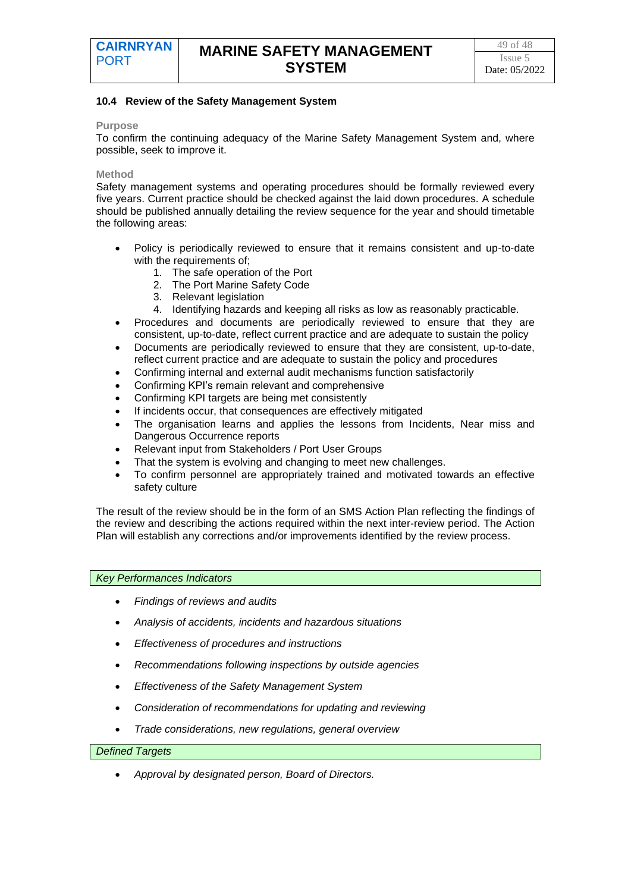## **10.4 Review of the Safety Management System**

#### **Purpose**

To confirm the continuing adequacy of the Marine Safety Management System and, where possible, seek to improve it.

#### **Method**

Safety management systems and operating procedures should be formally reviewed every five years. Current practice should be checked against the laid down procedures. A schedule should be published annually detailing the review sequence for the year and should timetable the following areas:

- Policy is periodically reviewed to ensure that it remains consistent and up-to-date with the requirements of;
	- 1. The safe operation of the Port
	- 2. The Port Marine Safety Code
	- 3. Relevant legislation
	- 4. Identifying hazards and keeping all risks as low as reasonably practicable.
- Procedures and documents are periodically reviewed to ensure that they are consistent, up-to-date, reflect current practice and are adequate to sustain the policy
- Documents are periodically reviewed to ensure that they are consistent, up-to-date, reflect current practice and are adequate to sustain the policy and procedures
- Confirming internal and external audit mechanisms function satisfactorily
- Confirming KPI's remain relevant and comprehensive
- Confirming KPI targets are being met consistently
- If incidents occur, that consequences are effectively mitigated
- The organisation learns and applies the lessons from Incidents, Near miss and Dangerous Occurrence reports
- Relevant input from Stakeholders / Port User Groups
- That the system is evolving and changing to meet new challenges.
- To confirm personnel are appropriately trained and motivated towards an effective safety culture

The result of the review should be in the form of an SMS Action Plan reflecting the findings of the review and describing the actions required within the next inter-review period. The Action Plan will establish any corrections and/or improvements identified by the review process.

## *Key Performances Indicators*

- *Findings of reviews and audits*
- *Analysis of accidents, incidents and hazardous situations*
- *Effectiveness of procedures and instructions*
- *Recommendations following inspections by outside agencies*
- *Effectiveness of the Safety Management System*
- *Consideration of recommendations for updating and reviewing*
- *Trade considerations, new regulations, general overview*

## *Defined Targets*

• *Approval by designated person, Board of Directors.*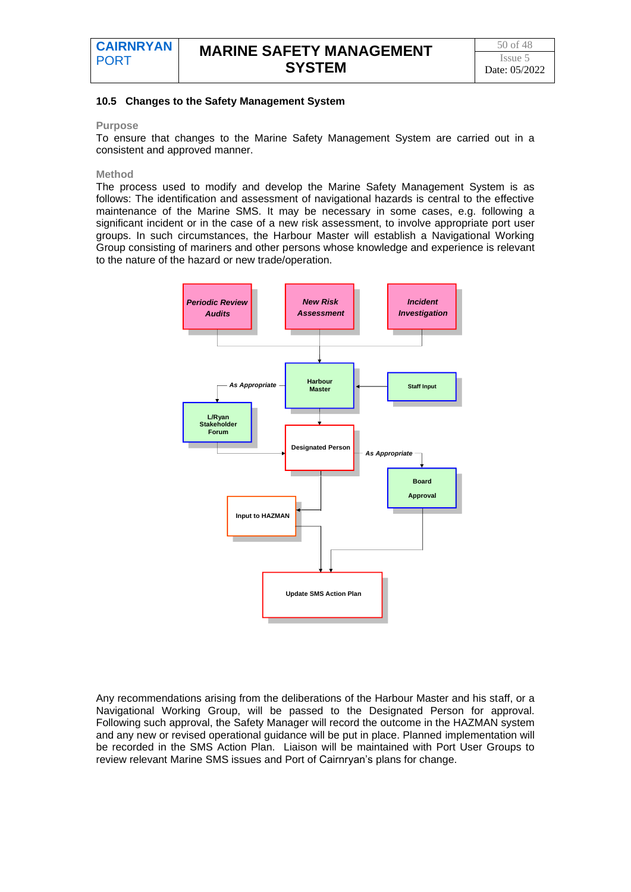## **10.5 Changes to the Safety Management System**

#### **Purpose**

To ensure that changes to the Marine Safety Management System are carried out in a consistent and approved manner.

#### **Method**

The process used to modify and develop the Marine Safety Management System is as follows: The identification and assessment of navigational hazards is central to the effective maintenance of the Marine SMS. It may be necessary in some cases, e.g. following a significant incident or in the case of a new risk assessment, to involve appropriate port user groups. In such circumstances, the Harbour Master will establish a Navigational Working Group consisting of mariners and other persons whose knowledge and experience is relevant to the nature of the hazard or new trade/operation.



Any recommendations arising from the deliberations of the Harbour Master and his staff, or a Navigational Working Group, will be passed to the Designated Person for approval. Following such approval, the Safety Manager will record the outcome in the HAZMAN system and any new or revised operational guidance will be put in place. Planned implementation will be recorded in the SMS Action Plan. Liaison will be maintained with Port User Groups to review relevant Marine SMS issues and Port of Cairnryan's plans for change.